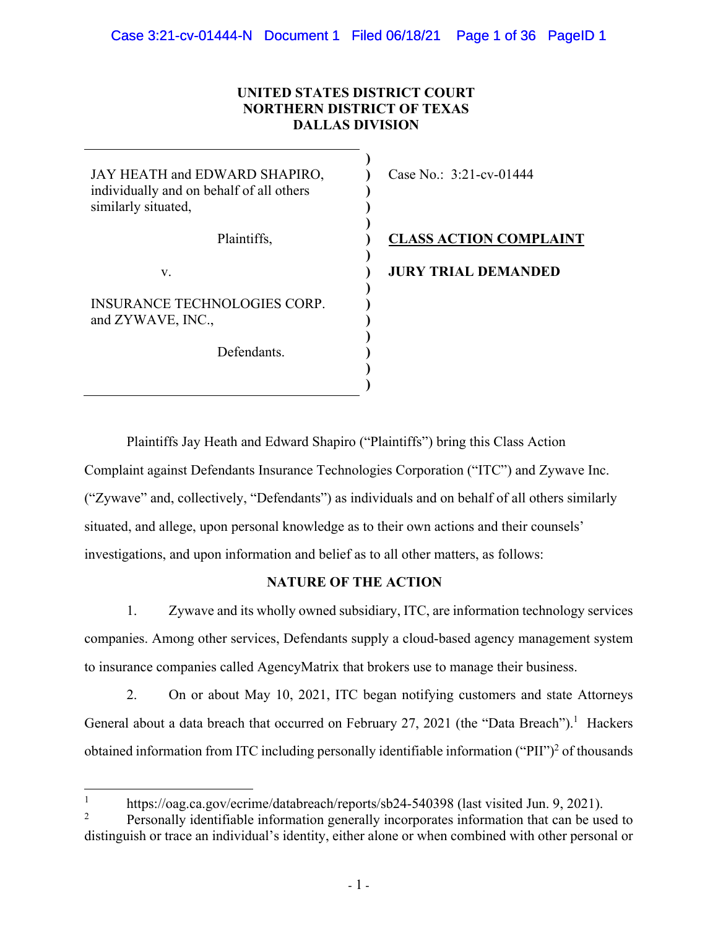# **UNITED STATES DISTRICT COURT NORTHERN DISTRICT OF TEXAS DALLAS DIVISION**

| JAY HEATH and EDWARD SHAPIRO,<br>individually and on behalf of all others<br>similarly situated, | Case No.: $3:21$ -cv-01444    |
|--------------------------------------------------------------------------------------------------|-------------------------------|
| Plaintiffs,                                                                                      | <b>CLASS ACTION COMPLAINT</b> |
| V.                                                                                               | <b>JURY TRIAL DEMANDED</b>    |
| INSURANCE TECHNOLOGIES CORP.<br>and ZYWAVE, INC.,                                                |                               |
| Defendants                                                                                       |                               |

Plaintiffs Jay Heath and Edward Shapiro ("Plaintiffs") bring this Class Action Complaint against Defendants Insurance Technologies Corporation ("ITC") and Zywave Inc. ("Zywave" and, collectively, "Defendants") as individuals and on behalf of all others similarly situated, and allege, upon personal knowledge as to their own actions and their counsels' investigations, and upon information and belief as to all other matters, as follows:

**) )** 

# **NATURE OF THE ACTION**

1. Zywave and its wholly owned subsidiary, ITC, are information technology services companies. Among other services, Defendants supply a cloud-based agency management system to insurance companies called AgencyMatrix that brokers use to manage their business.

2. On or about May 10, 2021, ITC began notifying customers and state Attorneys General about a data breach that occurred on February 27, 2021 (the "Data Breach").<sup>1</sup> Hackers obtained information from ITC including personally identifiable information ("PII")<sup>2</sup> of thousands

<sup>1</sup> https://oag.ca.gov/ecrime/databreach/reports/sb24-540398 (last visited Jun. 9, 2021).

<sup>2</sup> Personally identifiable information generally incorporates information that can be used to distinguish or trace an individual's identity, either alone or when combined with other personal or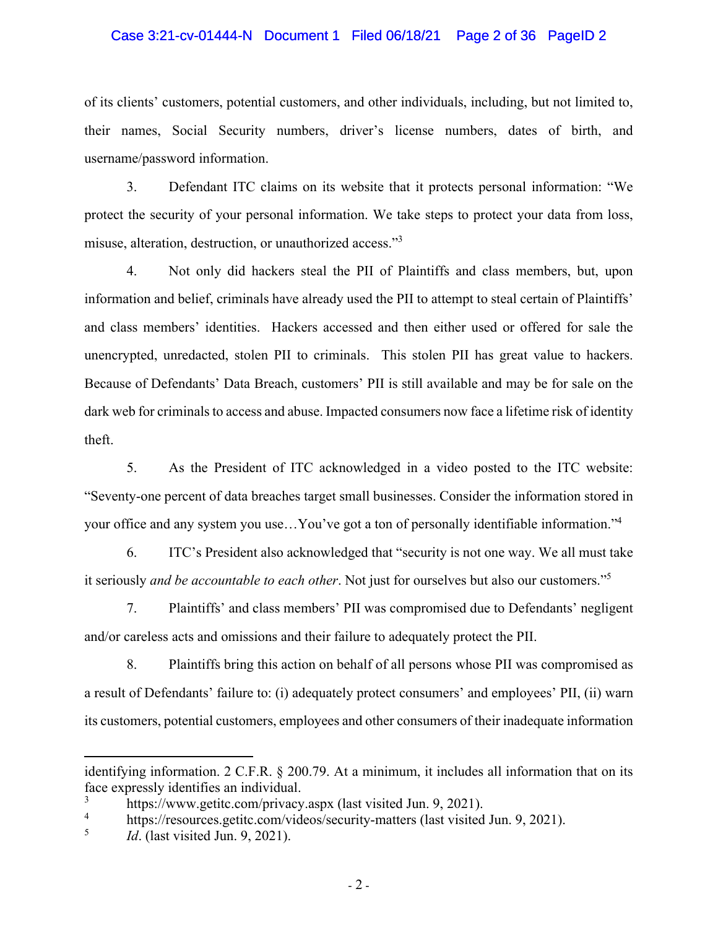### Case 3:21-cv-01444-N Document 1 Filed 06/18/21 Page 2 of 36 PageID 2

of its clients' customers, potential customers, and other individuals, including, but not limited to, their names, Social Security numbers, driver's license numbers, dates of birth, and username/password information.

3. Defendant ITC claims on its website that it protects personal information: "We protect the security of your personal information. We take steps to protect your data from loss, misuse, alteration, destruction, or unauthorized access."<sup>3</sup>

4. Not only did hackers steal the PII of Plaintiffs and class members, but, upon information and belief, criminals have already used the PII to attempt to steal certain of Plaintiffs' and class members' identities. Hackers accessed and then either used or offered for sale the unencrypted, unredacted, stolen PII to criminals. This stolen PII has great value to hackers. Because of Defendants' Data Breach, customers' PII is still available and may be for sale on the dark web for criminals to access and abuse. Impacted consumers now face a lifetime risk of identity theft.

5. As the President of ITC acknowledged in a video posted to the ITC website: "Seventy-one percent of data breaches target small businesses. Consider the information stored in your office and any system you use…You've got a ton of personally identifiable information."4

6. ITC's President also acknowledged that "security is not one way. We all must take it seriously *and be accountable to each other*. Not just for ourselves but also our customers."5

7. Plaintiffs' and class members' PII was compromised due to Defendants' negligent and/or careless acts and omissions and their failure to adequately protect the PII.

8. Plaintiffs bring this action on behalf of all persons whose PII was compromised as a result of Defendants' failure to: (i) adequately protect consumers' and employees' PII, (ii) warn its customers, potential customers, employees and other consumers of their inadequate information

identifying information. 2 C.F.R. § 200.79. At a minimum, it includes all information that on its face expressly identifies an individual.

<sup>3</sup> https://www.getitc.com/privacy.aspx (last visited Jun. 9, 2021).

<sup>4</sup> https://resources.getitc.com/videos/security-matters (last visited Jun. 9, 2021).

<sup>5</sup> *Id*. (last visited Jun. 9, 2021).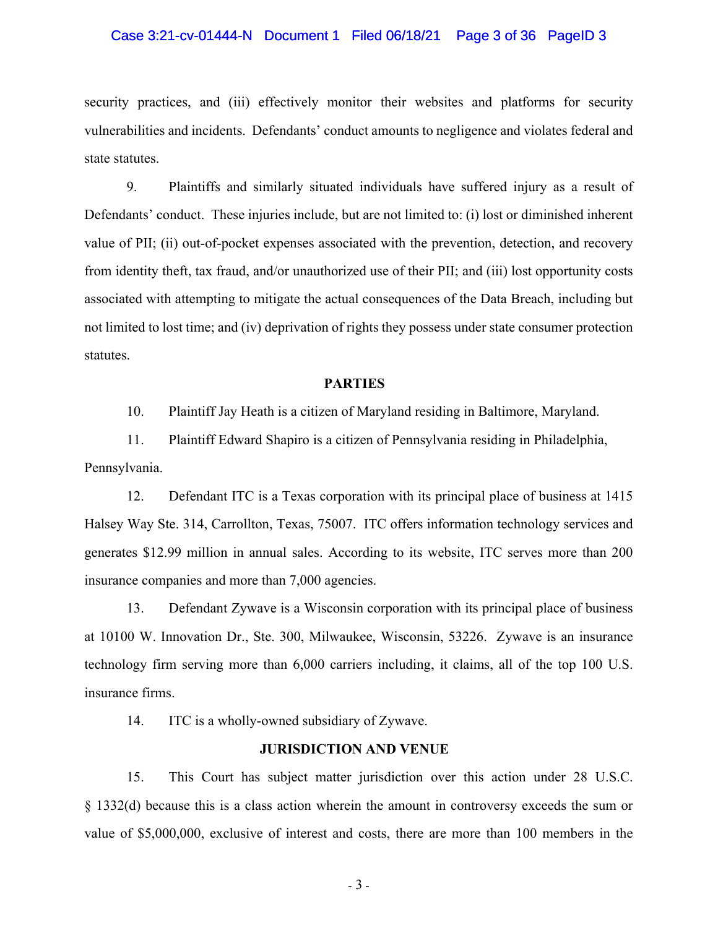#### Case 3:21-cv-01444-N Document 1 Filed 06/18/21 Page 3 of 36 PageID 3

security practices, and (iii) effectively monitor their websites and platforms for security vulnerabilities and incidents. Defendants' conduct amounts to negligence and violates federal and state statutes.

9. Plaintiffs and similarly situated individuals have suffered injury as a result of Defendants' conduct. These injuries include, but are not limited to: (i) lost or diminished inherent value of PII; (ii) out-of-pocket expenses associated with the prevention, detection, and recovery from identity theft, tax fraud, and/or unauthorized use of their PII; and (iii) lost opportunity costs associated with attempting to mitigate the actual consequences of the Data Breach, including but not limited to lost time; and (iv) deprivation of rights they possess under state consumer protection statutes.

#### **PARTIES**

10. Plaintiff Jay Heath is a citizen of Maryland residing in Baltimore, Maryland.

11. Plaintiff Edward Shapiro is a citizen of Pennsylvania residing in Philadelphia, Pennsylvania.

12. Defendant ITC is a Texas corporation with its principal place of business at 1415 Halsey Way Ste. 314, Carrollton, Texas, 75007. ITC offers information technology services and generates \$12.99 million in annual sales. According to its website, ITC serves more than 200 insurance companies and more than 7,000 agencies.

13. Defendant Zywave is a Wisconsin corporation with its principal place of business at 10100 W. Innovation Dr., Ste. 300, Milwaukee, Wisconsin, 53226. Zywave is an insurance technology firm serving more than 6,000 carriers including, it claims, all of the top 100 U.S. insurance firms.

14. ITC is a wholly-owned subsidiary of Zywave.

#### **JURISDICTION AND VENUE**

15. This Court has subject matter jurisdiction over this action under 28 U.S.C. § 1332(d) because this is a class action wherein the amount in controversy exceeds the sum or value of \$5,000,000, exclusive of interest and costs, there are more than 100 members in the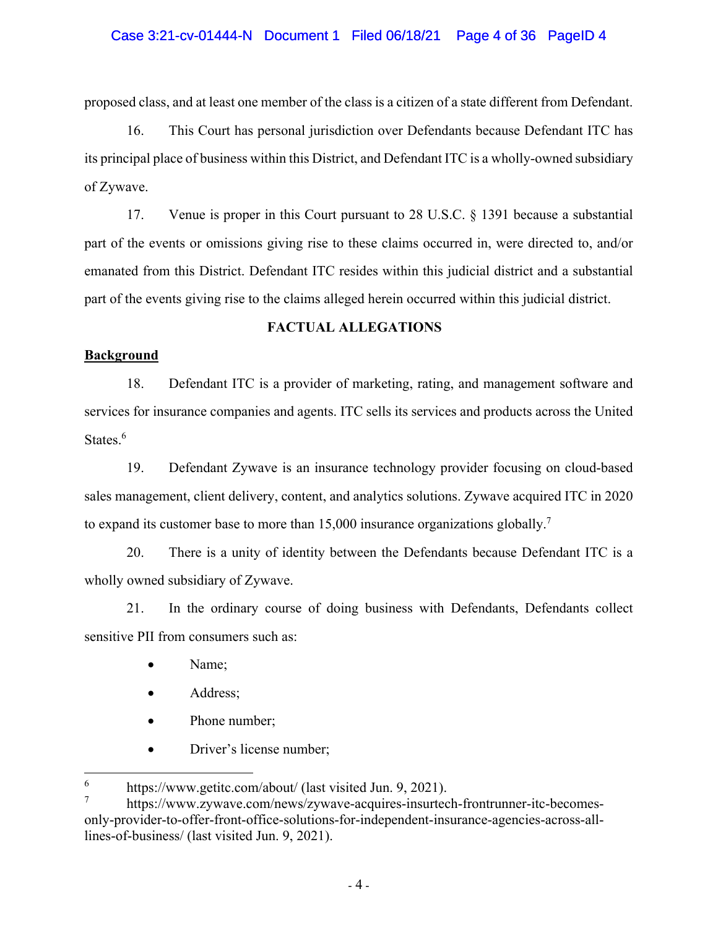### Case 3:21-cv-01444-N Document 1 Filed 06/18/21 Page 4 of 36 PageID 4

proposed class, and at least one member of the class is a citizen of a state different from Defendant.

16. This Court has personal jurisdiction over Defendants because Defendant ITC has its principal place of business within this District, and Defendant ITC is a wholly-owned subsidiary of Zywave.

17. Venue is proper in this Court pursuant to 28 U.S.C. § 1391 because a substantial part of the events or omissions giving rise to these claims occurred in, were directed to, and/or emanated from this District. Defendant ITC resides within this judicial district and a substantial part of the events giving rise to the claims alleged herein occurred within this judicial district.

### **FACTUAL ALLEGATIONS**

#### **Background**

18. Defendant ITC is a provider of marketing, rating, and management software and services for insurance companies and agents. ITC sells its services and products across the United States.<sup>6</sup>

19. Defendant Zywave is an insurance technology provider focusing on cloud-based sales management, client delivery, content, and analytics solutions. Zywave acquired ITC in 2020 to expand its customer base to more than 15,000 insurance organizations globally.<sup>7</sup>

20. There is a unity of identity between the Defendants because Defendant ITC is a wholly owned subsidiary of Zywave.

21. In the ordinary course of doing business with Defendants, Defendants collect sensitive PII from consumers such as:

- Name;
- Address;
- Phone number;
- Driver's license number;

<sup>6</sup> https://www.getitc.com/about/ (last visited Jun. 9, 2021).

<sup>7</sup> https://www.zywave.com/news/zywave-acquires-insurtech-frontrunner-itc-becomesonly-provider-to-offer-front-office-solutions-for-independent-insurance-agencies-across-alllines-of-business/ (last visited Jun. 9, 2021).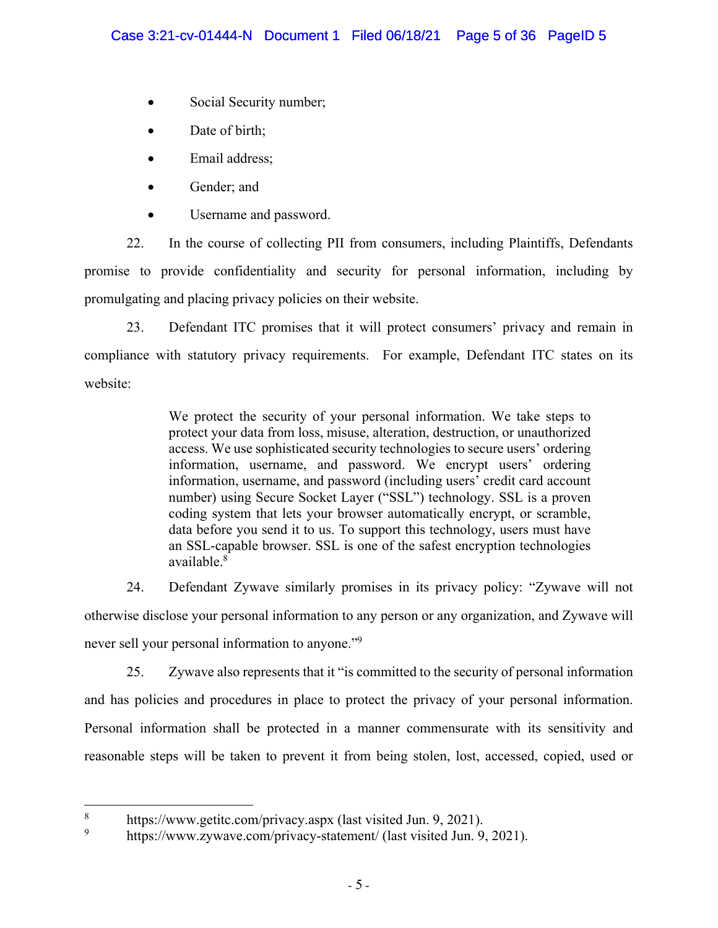- Social Security number;
- Date of birth;
- Email address;
- Gender; and
- Username and password.

22. In the course of collecting PII from consumers, including Plaintiffs, Defendants promise to provide confidentiality and security for personal information, including by promulgating and placing privacy policies on their website.

23. Defendant ITC promises that it will protect consumers' privacy and remain in compliance with statutory privacy requirements. For example, Defendant ITC states on its website:

> We protect the security of your personal information. We take steps to protect your data from loss, misuse, alteration, destruction, or unauthorized access. We use sophisticated security technologies to secure users' ordering information, username, and password. We encrypt users' ordering information, username, and password (including users' credit card account number) using Secure Socket Layer ("SSL") technology. SSL is a proven coding system that lets your browser automatically encrypt, or scramble, data before you send it to us. To support this technology, users must have an SSL-capable browser. SSL is one of the safest encryption technologies available.8

24. Defendant Zywave similarly promises in its privacy policy: "Zywave will not otherwise disclose your personal information to any person or any organization, and Zywave will never sell your personal information to anyone."9

25. Zywave also represents that it "is committed to the security of personal information and has policies and procedures in place to protect the privacy of your personal information. Personal information shall be protected in a manner commensurate with its sensitivity and reasonable steps will be taken to prevent it from being stolen, lost, accessed, copied, used or

<sup>8</sup> https://www.getitc.com/privacy.aspx (last visited Jun. 9, 2021).

<sup>9</sup> https://www.zywave.com/privacy-statement/ (last visited Jun. 9, 2021).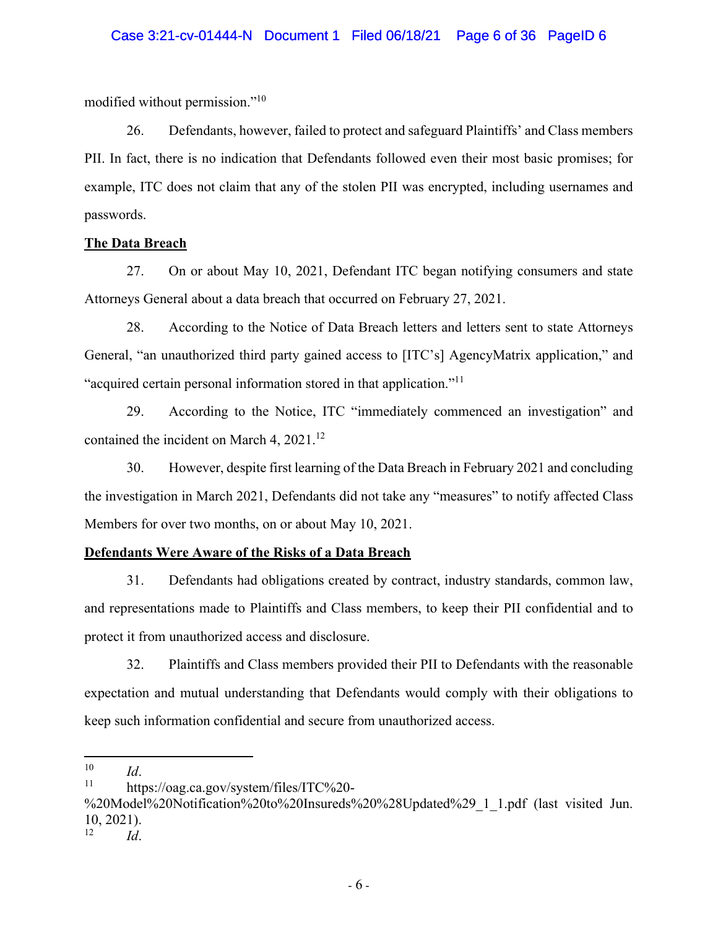modified without permission."10

26. Defendants, however, failed to protect and safeguard Plaintiffs' and Class members PII. In fact, there is no indication that Defendants followed even their most basic promises; for example, ITC does not claim that any of the stolen PII was encrypted, including usernames and passwords.

# **The Data Breach**

27. On or about May 10, 2021, Defendant ITC began notifying consumers and state Attorneys General about a data breach that occurred on February 27, 2021.

28. According to the Notice of Data Breach letters and letters sent to state Attorneys General, "an unauthorized third party gained access to [ITC's] AgencyMatrix application," and "acquired certain personal information stored in that application."11

29. According to the Notice, ITC "immediately commenced an investigation" and contained the incident on March 4, 2021.<sup>12</sup>

30. However, despite first learning of the Data Breach in February 2021 and concluding the investigation in March 2021, Defendants did not take any "measures" to notify affected Class Members for over two months, on or about May 10, 2021.

# **Defendants Were Aware of the Risks of a Data Breach**

31. Defendants had obligations created by contract, industry standards, common law, and representations made to Plaintiffs and Class members, to keep their PII confidential and to protect it from unauthorized access and disclosure.

32. Plaintiffs and Class members provided their PII to Defendants with the reasonable expectation and mutual understanding that Defendants would comply with their obligations to keep such information confidential and secure from unauthorized access.

12 *Id*.

<sup>&</sup>lt;sup>10</sup> *Id*.<br><sup>11</sup> https://oag.ca.gov/system/files/ITC%20-

<sup>%20</sup>Model%20Notification%20to%20Insureds%20%28Updated%29\_1\_1.pdf (last visited Jun.  $10, 2021$ .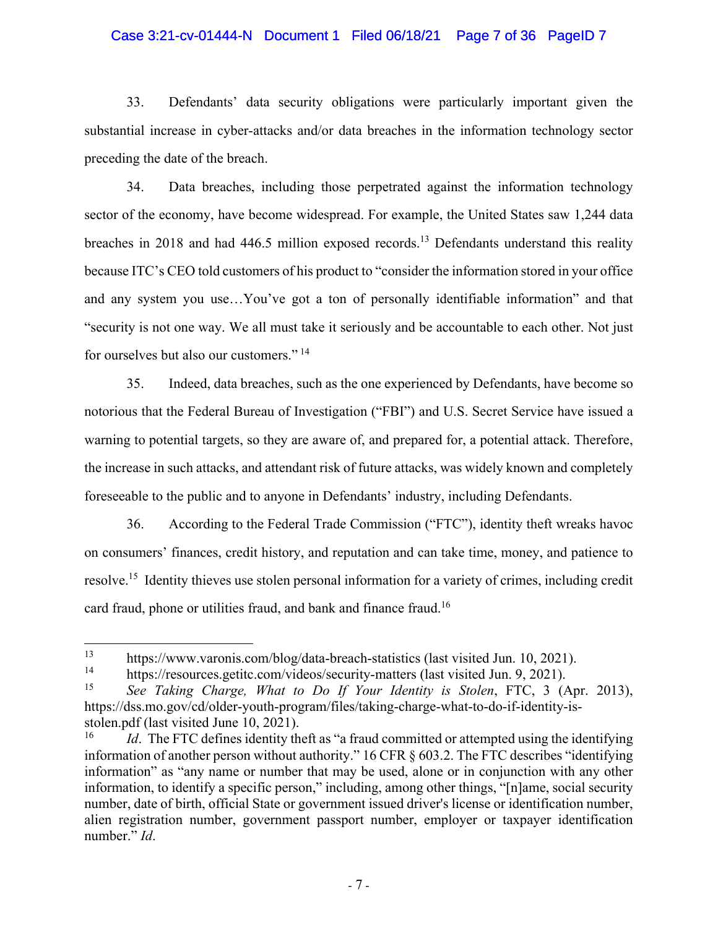#### Case 3:21-cv-01444-N Document 1 Filed 06/18/21 Page 7 of 36 PageID 7

33. Defendants' data security obligations were particularly important given the substantial increase in cyber-attacks and/or data breaches in the information technology sector preceding the date of the breach.

34. Data breaches, including those perpetrated against the information technology sector of the economy, have become widespread. For example, the United States saw 1,244 data breaches in 2018 and had 446.5 million exposed records.<sup>13</sup> Defendants understand this reality because ITC's CEO told customers of his product to "consider the information stored in your office and any system you use…You've got a ton of personally identifiable information" and that "security is not one way. We all must take it seriously and be accountable to each other. Not just for ourselves but also our customers." 14

35. Indeed, data breaches, such as the one experienced by Defendants, have become so notorious that the Federal Bureau of Investigation ("FBI") and U.S. Secret Service have issued a warning to potential targets, so they are aware of, and prepared for, a potential attack. Therefore, the increase in such attacks, and attendant risk of future attacks, was widely known and completely foreseeable to the public and to anyone in Defendants' industry, including Defendants.

36. According to the Federal Trade Commission ("FTC"), identity theft wreaks havoc on consumers' finances, credit history, and reputation and can take time, money, and patience to resolve.15 Identity thieves use stolen personal information for a variety of crimes, including credit card fraud, phone or utilities fraud, and bank and finance fraud.<sup>16</sup>

<sup>&</sup>lt;sup>13</sup> https://www.varonis.com/blog/data-breach-statistics (last visited Jun. 10, 2021).<br><sup>14</sup> https://resources.getitc.com/videos/security-matters (last visited Jun. 9, 2021).

<sup>&</sup>lt;sup>14</sup> https://resources.getitc.com/videos/security-matters (last visited Jun. 9, 2021).<br><sup>15</sup> See Taking Charge, What to Do If Your Identity is Stolen. ETC 3. (1)

<sup>15</sup> *See Taking Charge, What to Do If Your Identity is Stolen*, FTC, 3 (Apr. 2013), https://dss.mo.gov/cd/older-youth-program/files/taking-charge-what-to-do-if-identity-isstolen.pdf (last visited June 10, 2021).

<sup>&</sup>lt;sup>16</sup> *Id*. The FTC defines identity theft as "a fraud committed or attempted using the identifying information of another person without authority." 16 CFR § 603.2. The FTC describes "identifying information" as "any name or number that may be used, alone or in conjunction with any other information, to identify a specific person," including, among other things, "[n]ame, social security number, date of birth, official State or government issued driver's license or identification number, alien registration number, government passport number, employer or taxpayer identification number." *Id*.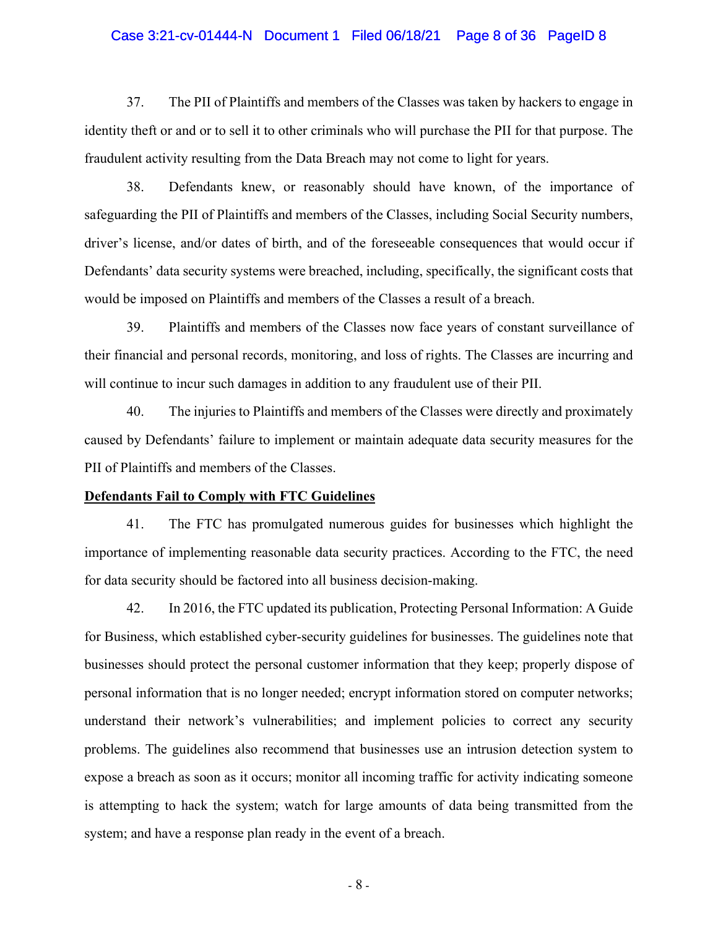#### Case 3:21-cv-01444-N Document 1 Filed 06/18/21 Page 8 of 36 PageID 8

37. The PII of Plaintiffs and members of the Classes was taken by hackers to engage in identity theft or and or to sell it to other criminals who will purchase the PII for that purpose. The fraudulent activity resulting from the Data Breach may not come to light for years.

38. Defendants knew, or reasonably should have known, of the importance of safeguarding the PII of Plaintiffs and members of the Classes, including Social Security numbers, driver's license, and/or dates of birth, and of the foreseeable consequences that would occur if Defendants' data security systems were breached, including, specifically, the significant costs that would be imposed on Plaintiffs and members of the Classes a result of a breach.

39. Plaintiffs and members of the Classes now face years of constant surveillance of their financial and personal records, monitoring, and loss of rights. The Classes are incurring and will continue to incur such damages in addition to any fraudulent use of their PII.

40. The injuries to Plaintiffs and members of the Classes were directly and proximately caused by Defendants' failure to implement or maintain adequate data security measures for the PII of Plaintiffs and members of the Classes.

#### **Defendants Fail to Comply with FTC Guidelines**

41. The FTC has promulgated numerous guides for businesses which highlight the importance of implementing reasonable data security practices. According to the FTC, the need for data security should be factored into all business decision-making.

42. In 2016, the FTC updated its publication, Protecting Personal Information: A Guide for Business, which established cyber-security guidelines for businesses. The guidelines note that businesses should protect the personal customer information that they keep; properly dispose of personal information that is no longer needed; encrypt information stored on computer networks; understand their network's vulnerabilities; and implement policies to correct any security problems. The guidelines also recommend that businesses use an intrusion detection system to expose a breach as soon as it occurs; monitor all incoming traffic for activity indicating someone is attempting to hack the system; watch for large amounts of data being transmitted from the system; and have a response plan ready in the event of a breach.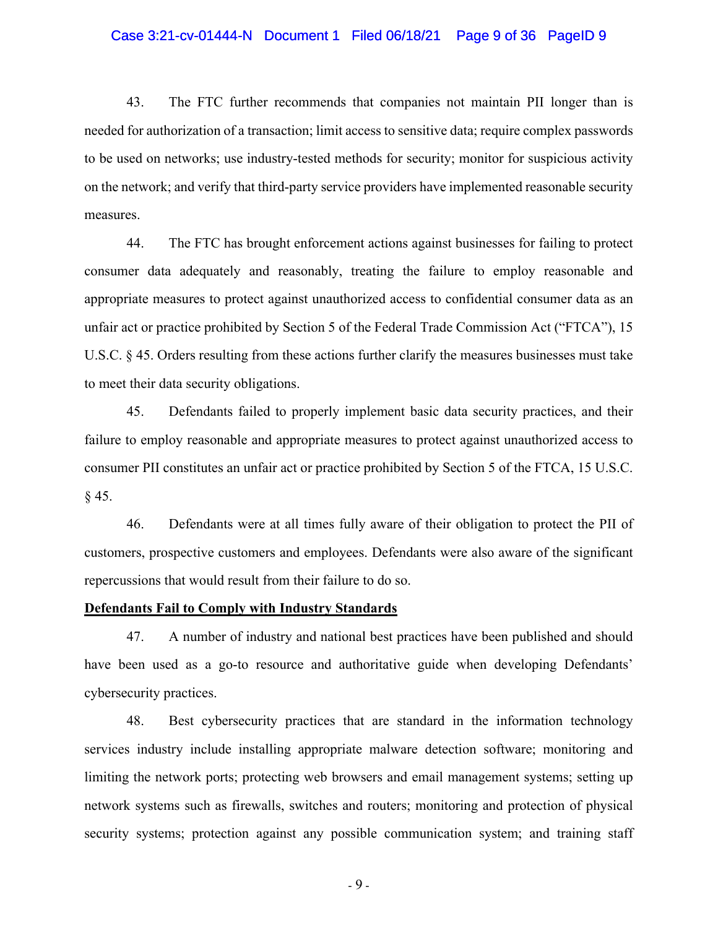#### Case 3:21-cv-01444-N Document 1 Filed 06/18/21 Page 9 of 36 PageID 9

43. The FTC further recommends that companies not maintain PII longer than is needed for authorization of a transaction; limit access to sensitive data; require complex passwords to be used on networks; use industry-tested methods for security; monitor for suspicious activity on the network; and verify that third-party service providers have implemented reasonable security measures.

44. The FTC has brought enforcement actions against businesses for failing to protect consumer data adequately and reasonably, treating the failure to employ reasonable and appropriate measures to protect against unauthorized access to confidential consumer data as an unfair act or practice prohibited by Section 5 of the Federal Trade Commission Act ("FTCA"), 15 U.S.C. § 45. Orders resulting from these actions further clarify the measures businesses must take to meet their data security obligations.

45. Defendants failed to properly implement basic data security practices, and their failure to employ reasonable and appropriate measures to protect against unauthorized access to consumer PII constitutes an unfair act or practice prohibited by Section 5 of the FTCA, 15 U.S.C.  $§ 45.$ 

46. Defendants were at all times fully aware of their obligation to protect the PII of customers, prospective customers and employees. Defendants were also aware of the significant repercussions that would result from their failure to do so.

#### **Defendants Fail to Comply with Industry Standards**

47. A number of industry and national best practices have been published and should have been used as a go-to resource and authoritative guide when developing Defendants' cybersecurity practices.

48. Best cybersecurity practices that are standard in the information technology services industry include installing appropriate malware detection software; monitoring and limiting the network ports; protecting web browsers and email management systems; setting up network systems such as firewalls, switches and routers; monitoring and protection of physical security systems; protection against any possible communication system; and training staff

- 9 -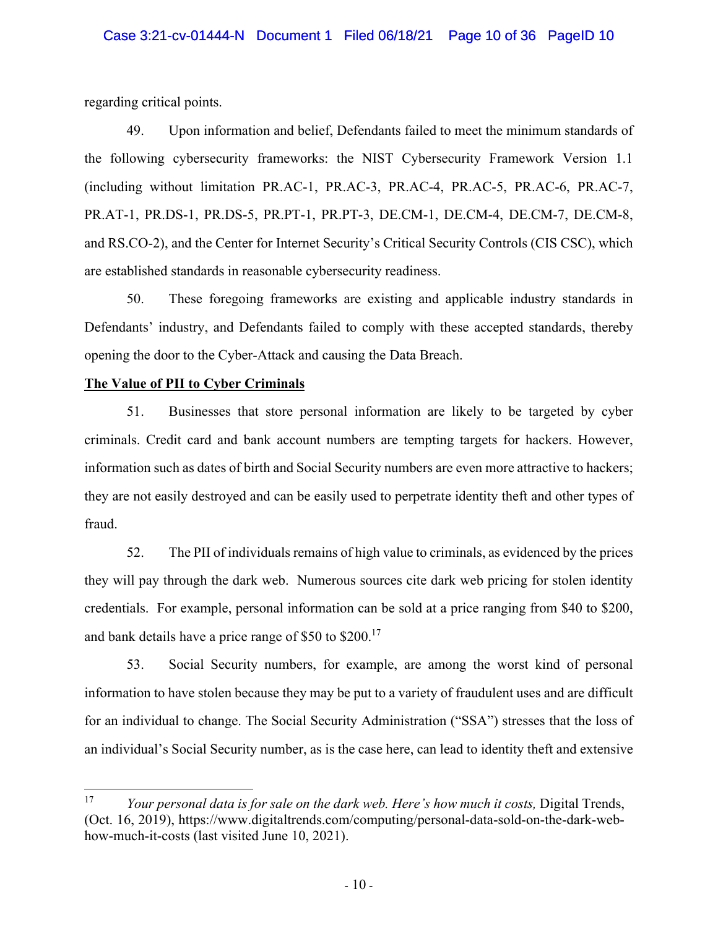regarding critical points.

49. Upon information and belief, Defendants failed to meet the minimum standards of the following cybersecurity frameworks: the NIST Cybersecurity Framework Version 1.1 (including without limitation PR.AC-1, PR.AC-3, PR.AC-4, PR.AC-5, PR.AC-6, PR.AC-7, PR.AT-1, PR.DS-1, PR.DS-5, PR.PT-1, PR.PT-3, DE.CM-1, DE.CM-4, DE.CM-7, DE.CM-8, and RS.CO-2), and the Center for Internet Security's Critical Security Controls (CIS CSC), which are established standards in reasonable cybersecurity readiness.

50. These foregoing frameworks are existing and applicable industry standards in Defendants' industry, and Defendants failed to comply with these accepted standards, thereby opening the door to the Cyber-Attack and causing the Data Breach.

### **The Value of PII to Cyber Criminals**

51. Businesses that store personal information are likely to be targeted by cyber criminals. Credit card and bank account numbers are tempting targets for hackers. However, information such as dates of birth and Social Security numbers are even more attractive to hackers; they are not easily destroyed and can be easily used to perpetrate identity theft and other types of fraud.

52. The PII of individuals remains of high value to criminals, as evidenced by the prices they will pay through the dark web. Numerous sources cite dark web pricing for stolen identity credentials. For example, personal information can be sold at a price ranging from \$40 to \$200, and bank details have a price range of \$50 to \$200.<sup>17</sup>

53. Social Security numbers, for example, are among the worst kind of personal information to have stolen because they may be put to a variety of fraudulent uses and are difficult for an individual to change. The Social Security Administration ("SSA") stresses that the loss of an individual's Social Security number, as is the case here, can lead to identity theft and extensive

<sup>&</sup>lt;sup>17</sup> *Your personal data is for sale on the dark web. Here's how much it costs, Digital Trends,* (Oct. 16, 2019), https://www.digitaltrends.com/computing/personal-data-sold-on-the-dark-webhow-much-it-costs (last visited June 10, 2021).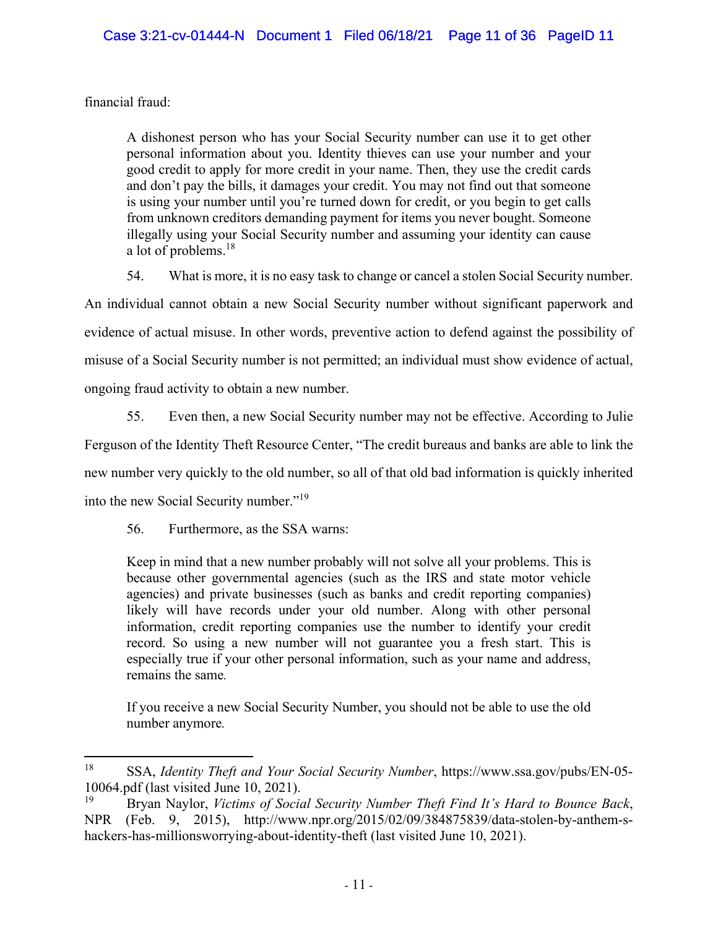financial fraud:

A dishonest person who has your Social Security number can use it to get other personal information about you. Identity thieves can use your number and your good credit to apply for more credit in your name. Then, they use the credit cards and don't pay the bills, it damages your credit. You may not find out that someone is using your number until you're turned down for credit, or you begin to get calls from unknown creditors demanding payment for items you never bought. Someone illegally using your Social Security number and assuming your identity can cause a lot of problems.<sup>18</sup>

54. What is more, it is no easy task to change or cancel a stolen Social Security number. An individual cannot obtain a new Social Security number without significant paperwork and evidence of actual misuse. In other words, preventive action to defend against the possibility of misuse of a Social Security number is not permitted; an individual must show evidence of actual, ongoing fraud activity to obtain a new number.

55. Even then, a new Social Security number may not be effective. According to Julie Ferguson of the Identity Theft Resource Center, "The credit bureaus and banks are able to link the new number very quickly to the old number, so all of that old bad information is quickly inherited into the new Social Security number."<sup>19</sup>

56. Furthermore, as the SSA warns:

Keep in mind that a new number probably will not solve all your problems. This is because other governmental agencies (such as the IRS and state motor vehicle agencies) and private businesses (such as banks and credit reporting companies) likely will have records under your old number. Along with other personal information, credit reporting companies use the number to identify your credit record. So using a new number will not guarantee you a fresh start. This is especially true if your other personal information, such as your name and address, remains the same*.* 

If you receive a new Social Security Number, you should not be able to use the old number anymore*.* 

<sup>18</sup> SSA, *Identity Theft and Your Social Security Number*, https://www.ssa.gov/pubs/EN-05- 10064.pdf (last visited June 10, 2021).

<sup>19</sup> Bryan Naylor, *Victims of Social Security Number Theft Find It's Hard to Bounce Back*, NPR (Feb. 9, 2015), http://www.npr.org/2015/02/09/384875839/data-stolen-by-anthem-shackers-has-millionsworrying-about-identity-theft (last visited June 10, 2021).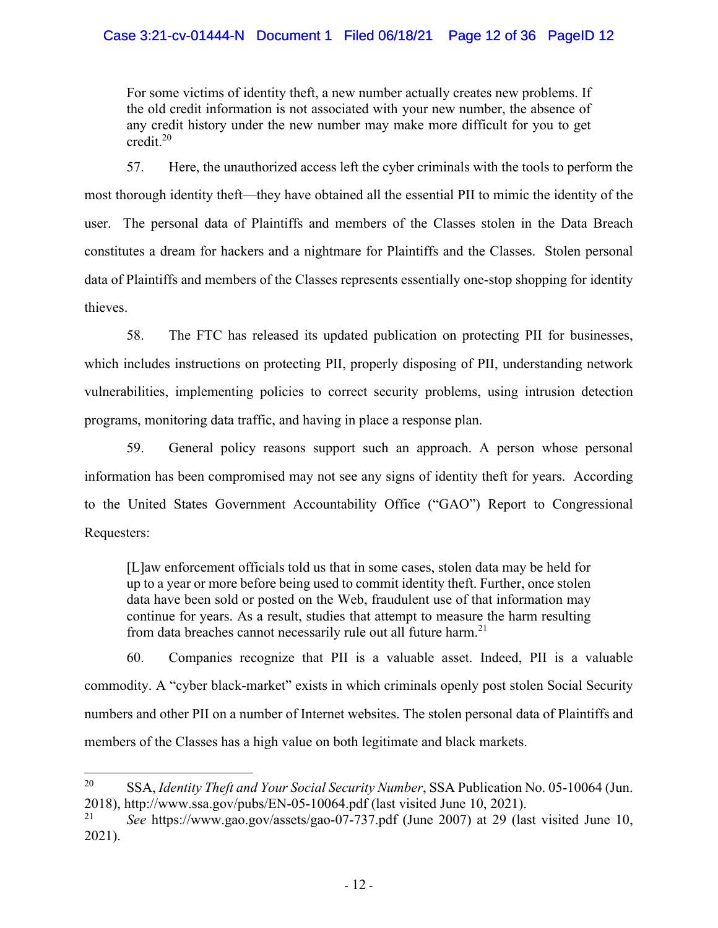For some victims of identity theft, a new number actually creates new problems. If the old credit information is not associated with your new number, the absence of any credit history under the new number may make more difficult for you to get credit. $20$ 

57. Here, the unauthorized access left the cyber criminals with the tools to perform the most thorough identity theft—they have obtained all the essential PII to mimic the identity of the user. The personal data of Plaintiffs and members of the Classes stolen in the Data Breach constitutes a dream for hackers and a nightmare for Plaintiffs and the Classes. Stolen personal data of Plaintiffs and members of the Classes represents essentially one-stop shopping for identity thieves.

58. The FTC has released its updated publication on protecting PII for businesses, which includes instructions on protecting PII, properly disposing of PII, understanding network vulnerabilities, implementing policies to correct security problems, using intrusion detection programs, monitoring data traffic, and having in place a response plan.

59. General policy reasons support such an approach. A person whose personal information has been compromised may not see any signs of identity theft for years. According to the United States Government Accountability Office ("GAO") Report to Congressional Requesters:

[L]aw enforcement officials told us that in some cases, stolen data may be held for up to a year or more before being used to commit identity theft. Further, once stolen data have been sold or posted on the Web, fraudulent use of that information may continue for years. As a result, studies that attempt to measure the harm resulting from data breaches cannot necessarily rule out all future harm.<sup>21</sup>

60. Companies recognize that PII is a valuable asset. Indeed, PII is a valuable commodity. A "cyber black-market" exists in which criminals openly post stolen Social Security numbers and other PII on a number of Internet websites. The stolen personal data of Plaintiffs and members of the Classes has a high value on both legitimate and black markets.

<sup>20</sup> SSA, *Identity Theft and Your Social Security Number*, SSA Publication No. 05-10064 (Jun. 2018), http://www.ssa.gov/pubs/EN-05-10064.pdf (last visited June 10, 2021).

<sup>21</sup> *See* https://www.gao.gov/assets/gao-07-737.pdf (June 2007) at 29 (last visited June 10, 2021).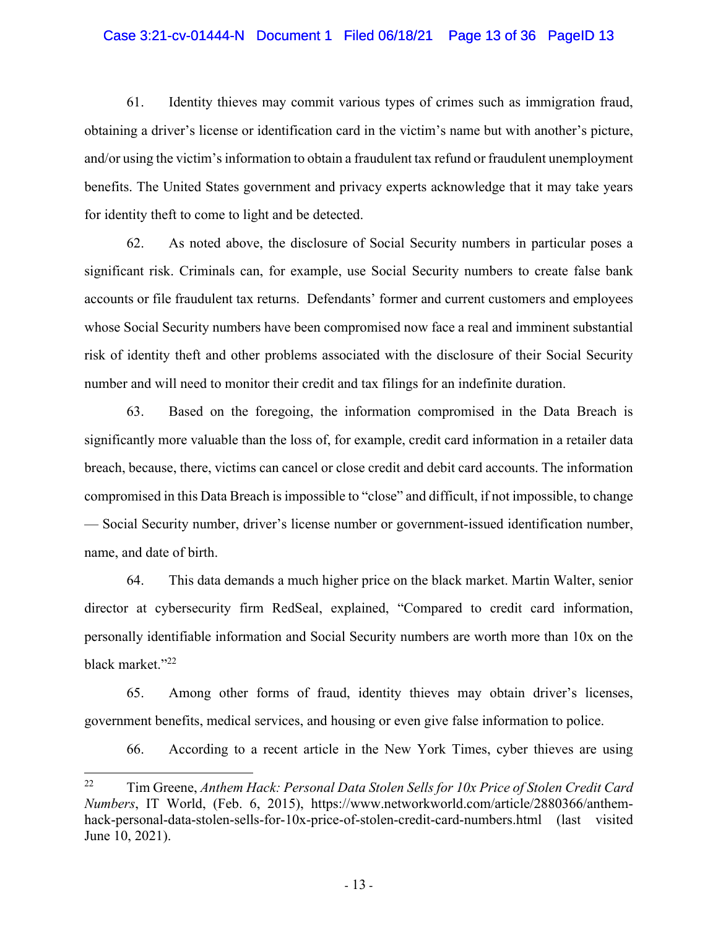#### Case 3:21-cv-01444-N Document 1 Filed 06/18/21 Page 13 of 36 PageID 13

61. Identity thieves may commit various types of crimes such as immigration fraud, obtaining a driver's license or identification card in the victim's name but with another's picture, and/or using the victim's information to obtain a fraudulent tax refund or fraudulent unemployment benefits. The United States government and privacy experts acknowledge that it may take years for identity theft to come to light and be detected.

62. As noted above, the disclosure of Social Security numbers in particular poses a significant risk. Criminals can, for example, use Social Security numbers to create false bank accounts or file fraudulent tax returns. Defendants' former and current customers and employees whose Social Security numbers have been compromised now face a real and imminent substantial risk of identity theft and other problems associated with the disclosure of their Social Security number and will need to monitor their credit and tax filings for an indefinite duration.

63. Based on the foregoing, the information compromised in the Data Breach is significantly more valuable than the loss of, for example, credit card information in a retailer data breach, because, there, victims can cancel or close credit and debit card accounts. The information compromised in this Data Breach is impossible to "close" and difficult, if not impossible, to change — Social Security number, driver's license number or government-issued identification number, name, and date of birth.

64. This data demands a much higher price on the black market. Martin Walter, senior director at cybersecurity firm RedSeal, explained, "Compared to credit card information, personally identifiable information and Social Security numbers are worth more than 10x on the black market."<sup>22</sup>

65. Among other forms of fraud, identity thieves may obtain driver's licenses, government benefits, medical services, and housing or even give false information to police.

66. According to a recent article in the New York Times, cyber thieves are using

<sup>22</sup> Tim Greene, *Anthem Hack: Personal Data Stolen Sells for 10x Price of Stolen Credit Card Numbers*, IT World, (Feb. 6, 2015), https://www.networkworld.com/article/2880366/anthemhack-personal-data-stolen-sells-for-10x-price-of-stolen-credit-card-numbers.html (last visited June 10, 2021).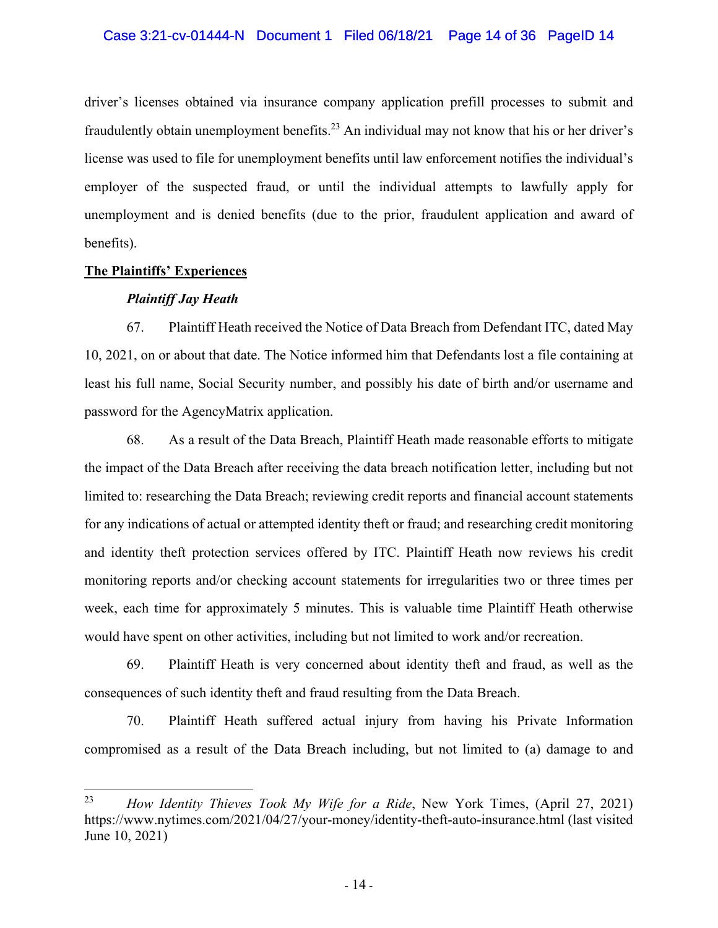### Case 3:21-cv-01444-N Document 1 Filed 06/18/21 Page 14 of 36 PageID 14

driver's licenses obtained via insurance company application prefill processes to submit and fraudulently obtain unemployment benefits.<sup>23</sup> An individual may not know that his or her driver's license was used to file for unemployment benefits until law enforcement notifies the individual's employer of the suspected fraud, or until the individual attempts to lawfully apply for unemployment and is denied benefits (due to the prior, fraudulent application and award of benefits).

#### **The Plaintiffs' Experiences**

#### *Plaintiff Jay Heath*

67. Plaintiff Heath received the Notice of Data Breach from Defendant ITC, dated May 10, 2021, on or about that date. The Notice informed him that Defendants lost a file containing at least his full name, Social Security number, and possibly his date of birth and/or username and password for the AgencyMatrix application.

68. As a result of the Data Breach, Plaintiff Heath made reasonable efforts to mitigate the impact of the Data Breach after receiving the data breach notification letter, including but not limited to: researching the Data Breach; reviewing credit reports and financial account statements for any indications of actual or attempted identity theft or fraud; and researching credit monitoring and identity theft protection services offered by ITC. Plaintiff Heath now reviews his credit monitoring reports and/or checking account statements for irregularities two or three times per week, each time for approximately 5 minutes. This is valuable time Plaintiff Heath otherwise would have spent on other activities, including but not limited to work and/or recreation.

69. Plaintiff Heath is very concerned about identity theft and fraud, as well as the consequences of such identity theft and fraud resulting from the Data Breach.

70. Plaintiff Heath suffered actual injury from having his Private Information compromised as a result of the Data Breach including, but not limited to (a) damage to and

<sup>23</sup> *How Identity Thieves Took My Wife for a Ride*, New York Times, (April 27, 2021) https://www.nytimes.com/2021/04/27/your-money/identity-theft-auto-insurance.html (last visited June 10, 2021)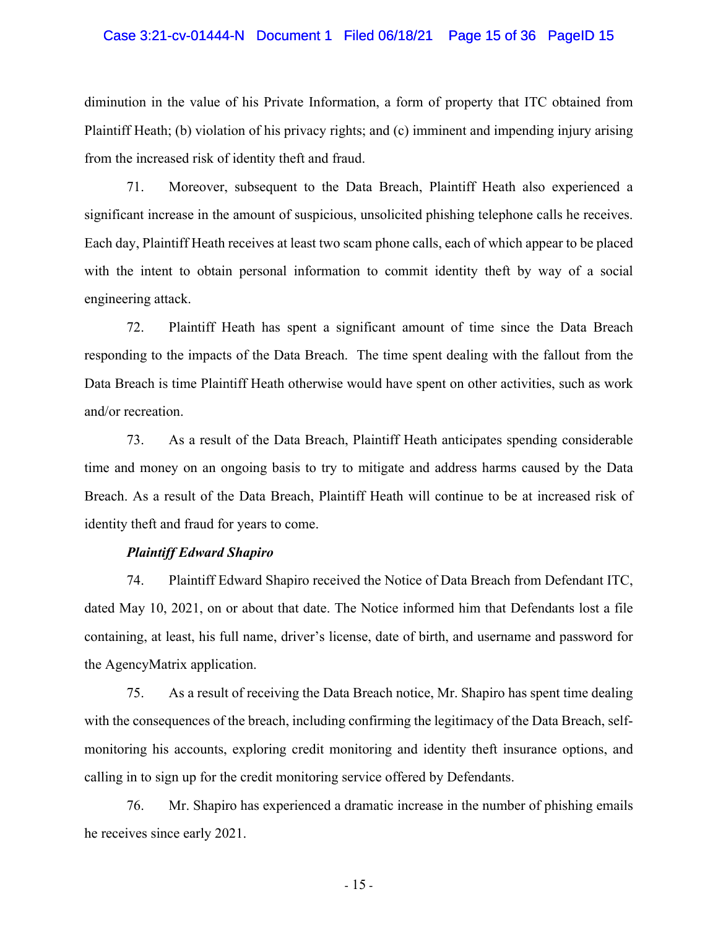#### Case 3:21-cv-01444-N Document 1 Filed 06/18/21 Page 15 of 36 PageID 15

diminution in the value of his Private Information, a form of property that ITC obtained from Plaintiff Heath; (b) violation of his privacy rights; and (c) imminent and impending injury arising from the increased risk of identity theft and fraud.

71. Moreover, subsequent to the Data Breach, Plaintiff Heath also experienced a significant increase in the amount of suspicious, unsolicited phishing telephone calls he receives. Each day, Plaintiff Heath receives at least two scam phone calls, each of which appear to be placed with the intent to obtain personal information to commit identity theft by way of a social engineering attack.

72. Plaintiff Heath has spent a significant amount of time since the Data Breach responding to the impacts of the Data Breach. The time spent dealing with the fallout from the Data Breach is time Plaintiff Heath otherwise would have spent on other activities, such as work and/or recreation.

73. As a result of the Data Breach, Plaintiff Heath anticipates spending considerable time and money on an ongoing basis to try to mitigate and address harms caused by the Data Breach. As a result of the Data Breach, Plaintiff Heath will continue to be at increased risk of identity theft and fraud for years to come.

#### *Plaintiff Edward Shapiro*

74. Plaintiff Edward Shapiro received the Notice of Data Breach from Defendant ITC, dated May 10, 2021, on or about that date. The Notice informed him that Defendants lost a file containing, at least, his full name, driver's license, date of birth, and username and password for the AgencyMatrix application.

75. As a result of receiving the Data Breach notice, Mr. Shapiro has spent time dealing with the consequences of the breach, including confirming the legitimacy of the Data Breach, selfmonitoring his accounts, exploring credit monitoring and identity theft insurance options, and calling in to sign up for the credit monitoring service offered by Defendants.

76. Mr. Shapiro has experienced a dramatic increase in the number of phishing emails he receives since early 2021.

- 15 -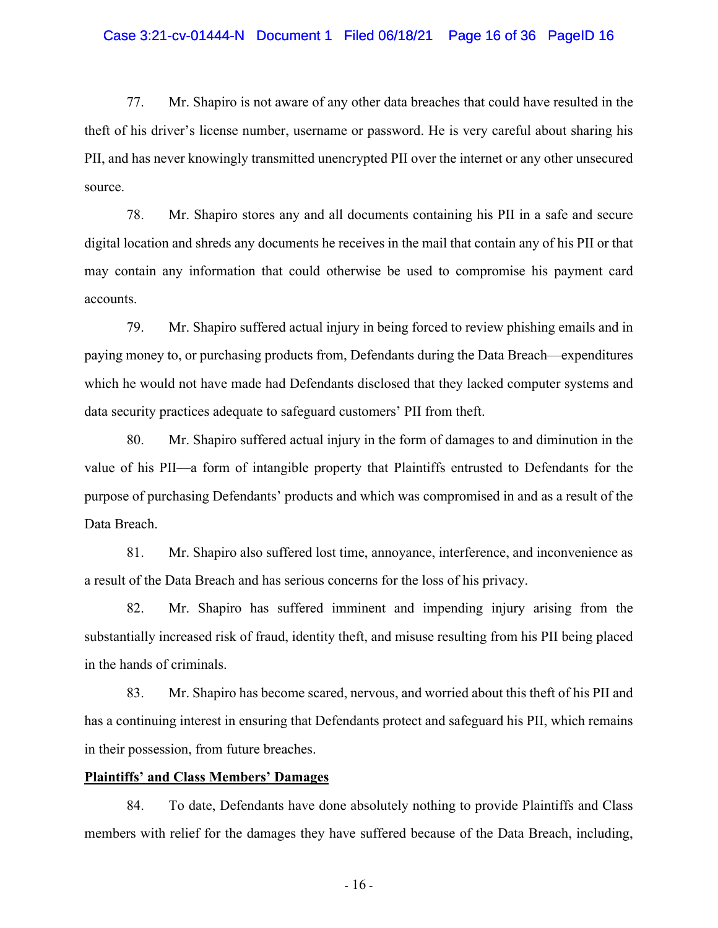#### Case 3:21-cv-01444-N Document 1 Filed 06/18/21 Page 16 of 36 PageID 16

77. Mr. Shapiro is not aware of any other data breaches that could have resulted in the theft of his driver's license number, username or password. He is very careful about sharing his PII, and has never knowingly transmitted unencrypted PII over the internet or any other unsecured source.

78. Mr. Shapiro stores any and all documents containing his PII in a safe and secure digital location and shreds any documents he receives in the mail that contain any of his PII or that may contain any information that could otherwise be used to compromise his payment card accounts.

79. Mr. Shapiro suffered actual injury in being forced to review phishing emails and in paying money to, or purchasing products from, Defendants during the Data Breach—expenditures which he would not have made had Defendants disclosed that they lacked computer systems and data security practices adequate to safeguard customers' PII from theft.

80. Mr. Shapiro suffered actual injury in the form of damages to and diminution in the value of his PII—a form of intangible property that Plaintiffs entrusted to Defendants for the purpose of purchasing Defendants' products and which was compromised in and as a result of the Data Breach.

81. Mr. Shapiro also suffered lost time, annoyance, interference, and inconvenience as a result of the Data Breach and has serious concerns for the loss of his privacy.

82. Mr. Shapiro has suffered imminent and impending injury arising from the substantially increased risk of fraud, identity theft, and misuse resulting from his PII being placed in the hands of criminals.

83. Mr. Shapiro has become scared, nervous, and worried about this theft of his PII and has a continuing interest in ensuring that Defendants protect and safeguard his PII, which remains in their possession, from future breaches.

#### **Plaintiffs' and Class Members' Damages**

84. To date, Defendants have done absolutely nothing to provide Plaintiffs and Class members with relief for the damages they have suffered because of the Data Breach, including,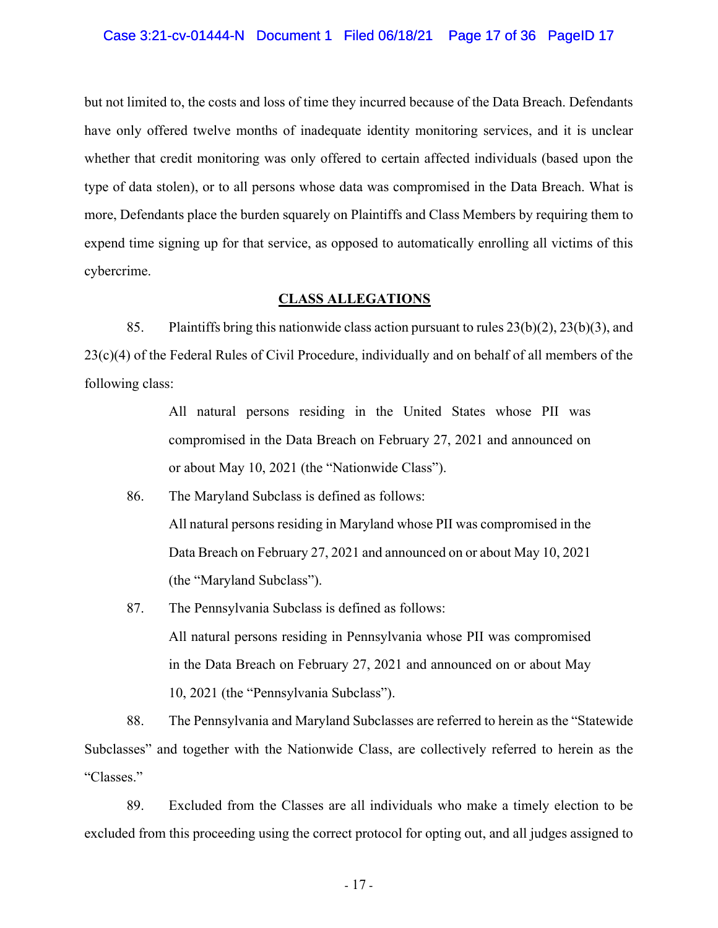#### Case 3:21-cv-01444-N Document 1 Filed 06/18/21 Page 17 of 36 PageID 17

but not limited to, the costs and loss of time they incurred because of the Data Breach. Defendants have only offered twelve months of inadequate identity monitoring services, and it is unclear whether that credit monitoring was only offered to certain affected individuals (based upon the type of data stolen), or to all persons whose data was compromised in the Data Breach. What is more, Defendants place the burden squarely on Plaintiffs and Class Members by requiring them to expend time signing up for that service, as opposed to automatically enrolling all victims of this cybercrime.

#### **CLASS ALLEGATIONS**

85. Plaintiffs bring this nationwide class action pursuant to rules  $23(b)(2)$ ,  $23(b)(3)$ , and  $23(c)(4)$  of the Federal Rules of Civil Procedure, individually and on behalf of all members of the following class:

> All natural persons residing in the United States whose PII was compromised in the Data Breach on February 27, 2021 and announced on or about May 10, 2021 (the "Nationwide Class").

- 86. The Maryland Subclass is defined as follows: All natural persons residing in Maryland whose PII was compromised in the Data Breach on February 27, 2021 and announced on or about May 10, 2021 (the "Maryland Subclass").
- 87. The Pennsylvania Subclass is defined as follows: All natural persons residing in Pennsylvania whose PII was compromised in the Data Breach on February 27, 2021 and announced on or about May 10, 2021 (the "Pennsylvania Subclass").

88. The Pennsylvania and Maryland Subclasses are referred to herein as the "Statewide Subclasses" and together with the Nationwide Class, are collectively referred to herein as the "Classes."

89. Excluded from the Classes are all individuals who make a timely election to be excluded from this proceeding using the correct protocol for opting out, and all judges assigned to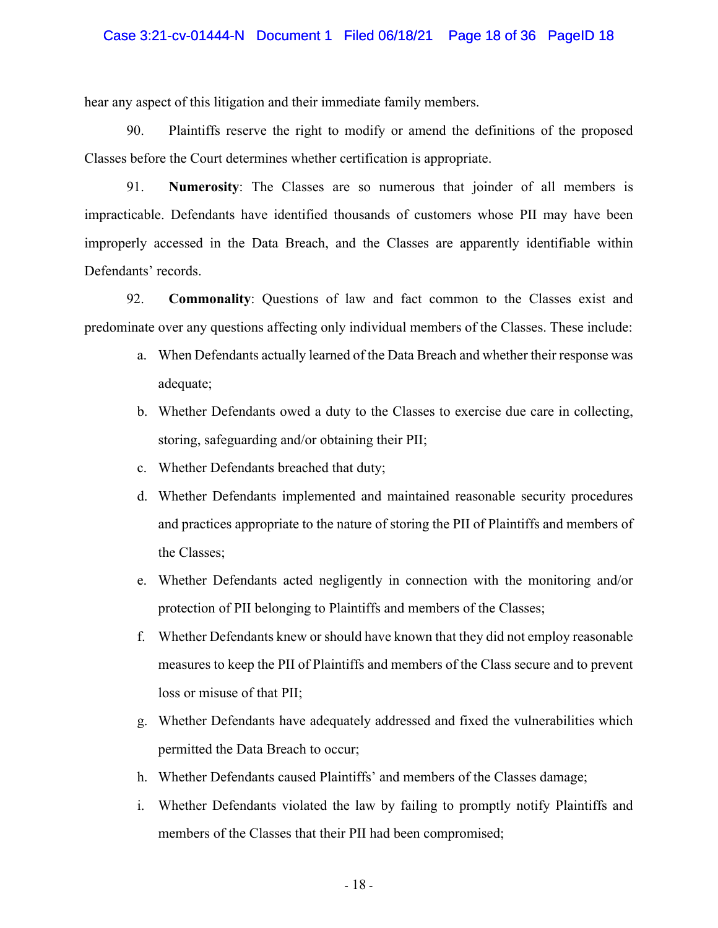#### Case 3:21-cv-01444-N Document 1 Filed 06/18/21 Page 18 of 36 PageID 18

hear any aspect of this litigation and their immediate family members.

90. Plaintiffs reserve the right to modify or amend the definitions of the proposed Classes before the Court determines whether certification is appropriate.

91. **Numerosity**: The Classes are so numerous that joinder of all members is impracticable. Defendants have identified thousands of customers whose PII may have been improperly accessed in the Data Breach, and the Classes are apparently identifiable within Defendants' records.

92. **Commonality**: Questions of law and fact common to the Classes exist and predominate over any questions affecting only individual members of the Classes. These include:

- a. When Defendants actually learned of the Data Breach and whether their response was adequate;
- b. Whether Defendants owed a duty to the Classes to exercise due care in collecting, storing, safeguarding and/or obtaining their PII;
- c. Whether Defendants breached that duty;
- d. Whether Defendants implemented and maintained reasonable security procedures and practices appropriate to the nature of storing the PII of Plaintiffs and members of the Classes;
- e. Whether Defendants acted negligently in connection with the monitoring and/or protection of PII belonging to Plaintiffs and members of the Classes;
- f. Whether Defendants knew or should have known that they did not employ reasonable measures to keep the PII of Plaintiffs and members of the Class secure and to prevent loss or misuse of that PII;
- g. Whether Defendants have adequately addressed and fixed the vulnerabilities which permitted the Data Breach to occur;
- h. Whether Defendants caused Plaintiffs' and members of the Classes damage;
- i. Whether Defendants violated the law by failing to promptly notify Plaintiffs and members of the Classes that their PII had been compromised;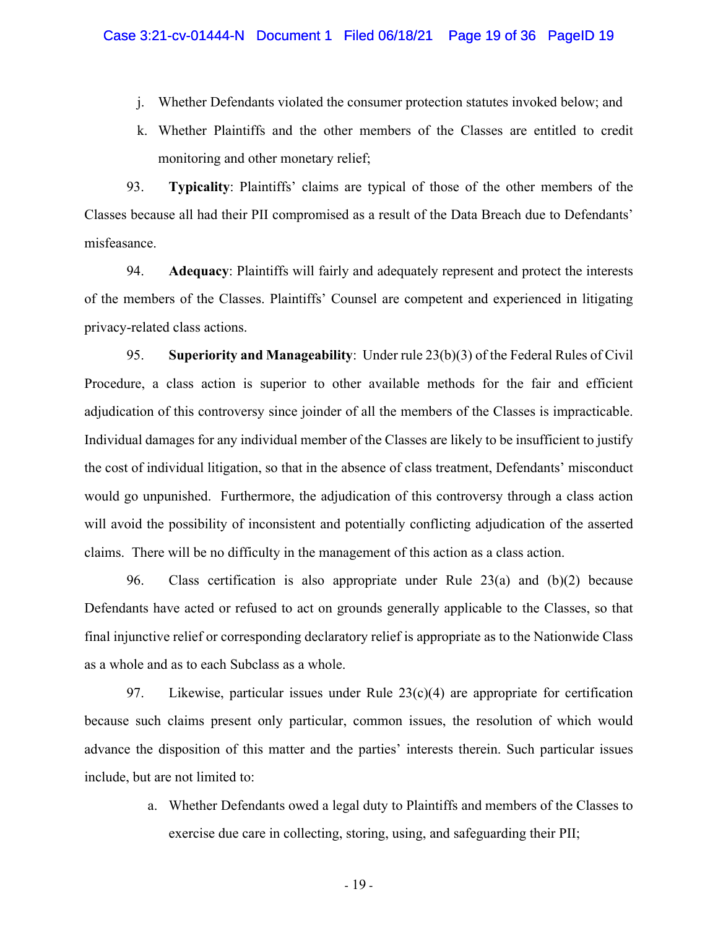- j. Whether Defendants violated the consumer protection statutes invoked below; and
- k. Whether Plaintiffs and the other members of the Classes are entitled to credit monitoring and other monetary relief;

93. **Typicality**: Plaintiffs' claims are typical of those of the other members of the Classes because all had their PII compromised as a result of the Data Breach due to Defendants' misfeasance.

94. **Adequacy**: Plaintiffs will fairly and adequately represent and protect the interests of the members of the Classes. Plaintiffs' Counsel are competent and experienced in litigating privacy-related class actions.

95. **Superiority and Manageability**: Under rule 23(b)(3) of the Federal Rules of Civil Procedure, a class action is superior to other available methods for the fair and efficient adjudication of this controversy since joinder of all the members of the Classes is impracticable. Individual damages for any individual member of the Classes are likely to be insufficient to justify the cost of individual litigation, so that in the absence of class treatment, Defendants' misconduct would go unpunished. Furthermore, the adjudication of this controversy through a class action will avoid the possibility of inconsistent and potentially conflicting adjudication of the asserted claims. There will be no difficulty in the management of this action as a class action.

96. Class certification is also appropriate under Rule 23(a) and (b)(2) because Defendants have acted or refused to act on grounds generally applicable to the Classes, so that final injunctive relief or corresponding declaratory relief is appropriate as to the Nationwide Class as a whole and as to each Subclass as a whole.

97. Likewise, particular issues under Rule  $23(c)(4)$  are appropriate for certification because such claims present only particular, common issues, the resolution of which would advance the disposition of this matter and the parties' interests therein. Such particular issues include, but are not limited to:

> a. Whether Defendants owed a legal duty to Plaintiffs and members of the Classes to exercise due care in collecting, storing, using, and safeguarding their PII;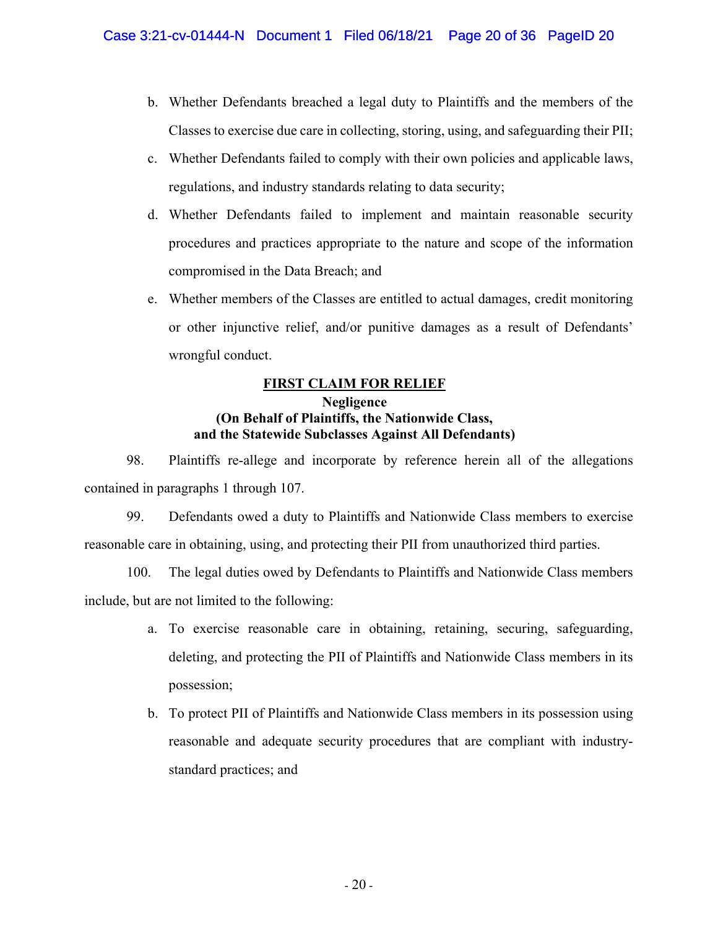- b. Whether Defendants breached a legal duty to Plaintiffs and the members of the Classes to exercise due care in collecting, storing, using, and safeguarding their PII;
- c. Whether Defendants failed to comply with their own policies and applicable laws, regulations, and industry standards relating to data security;
- d. Whether Defendants failed to implement and maintain reasonable security procedures and practices appropriate to the nature and scope of the information compromised in the Data Breach; and
- e. Whether members of the Classes are entitled to actual damages, credit monitoring or other injunctive relief, and/or punitive damages as a result of Defendants' wrongful conduct.

# **FIRST CLAIM FOR RELIEF**

# **Negligence (On Behalf of Plaintiffs, the Nationwide Class, and the Statewide Subclasses Against All Defendants)**

98. Plaintiffs re-allege and incorporate by reference herein all of the allegations contained in paragraphs 1 through 107.

99. Defendants owed a duty to Plaintiffs and Nationwide Class members to exercise reasonable care in obtaining, using, and protecting their PII from unauthorized third parties.

100. The legal duties owed by Defendants to Plaintiffs and Nationwide Class members include, but are not limited to the following:

- a. To exercise reasonable care in obtaining, retaining, securing, safeguarding, deleting, and protecting the PII of Plaintiffs and Nationwide Class members in its possession;
- b. To protect PII of Plaintiffs and Nationwide Class members in its possession using reasonable and adequate security procedures that are compliant with industrystandard practices; and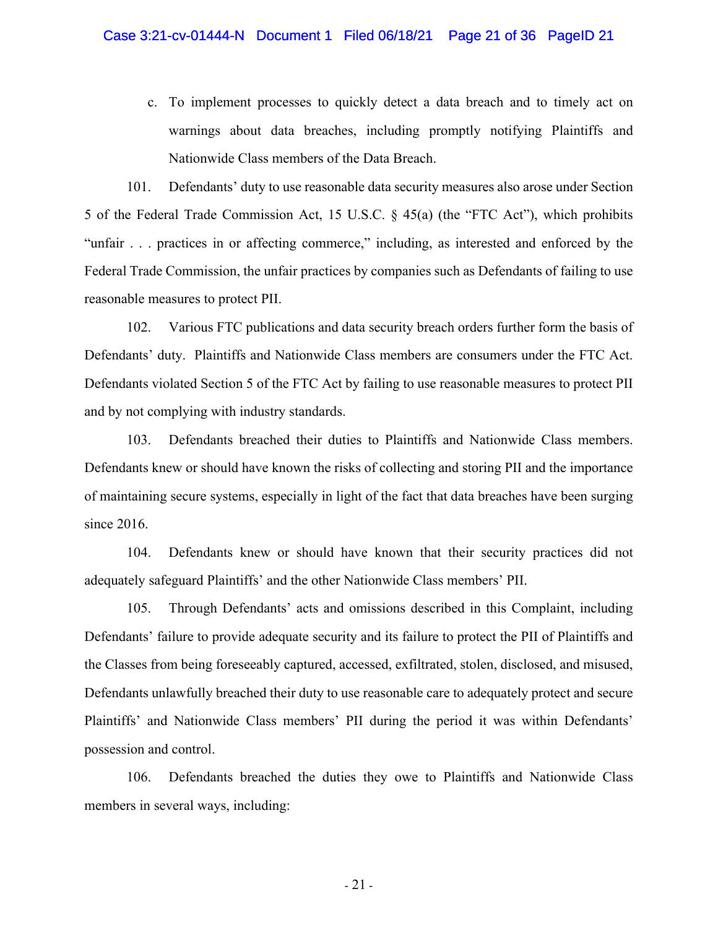c. To implement processes to quickly detect a data breach and to timely act on warnings about data breaches, including promptly notifying Plaintiffs and Nationwide Class members of the Data Breach.

101. Defendants' duty to use reasonable data security measures also arose under Section 5 of the Federal Trade Commission Act, 15 U.S.C. § 45(a) (the "FTC Act"), which prohibits "unfair . . . practices in or affecting commerce," including, as interested and enforced by the Federal Trade Commission, the unfair practices by companies such as Defendants of failing to use reasonable measures to protect PII.

102. Various FTC publications and data security breach orders further form the basis of Defendants' duty. Plaintiffs and Nationwide Class members are consumers under the FTC Act. Defendants violated Section 5 of the FTC Act by failing to use reasonable measures to protect PII and by not complying with industry standards.

103. Defendants breached their duties to Plaintiffs and Nationwide Class members. Defendants knew or should have known the risks of collecting and storing PII and the importance of maintaining secure systems, especially in light of the fact that data breaches have been surging since 2016.

104. Defendants knew or should have known that their security practices did not adequately safeguard Plaintiffs' and the other Nationwide Class members' PII.

105. Through Defendants' acts and omissions described in this Complaint, including Defendants' failure to provide adequate security and its failure to protect the PII of Plaintiffs and the Classes from being foreseeably captured, accessed, exfiltrated, stolen, disclosed, and misused, Defendants unlawfully breached their duty to use reasonable care to adequately protect and secure Plaintiffs' and Nationwide Class members' PII during the period it was within Defendants' possession and control.

106. Defendants breached the duties they owe to Plaintiffs and Nationwide Class members in several ways, including: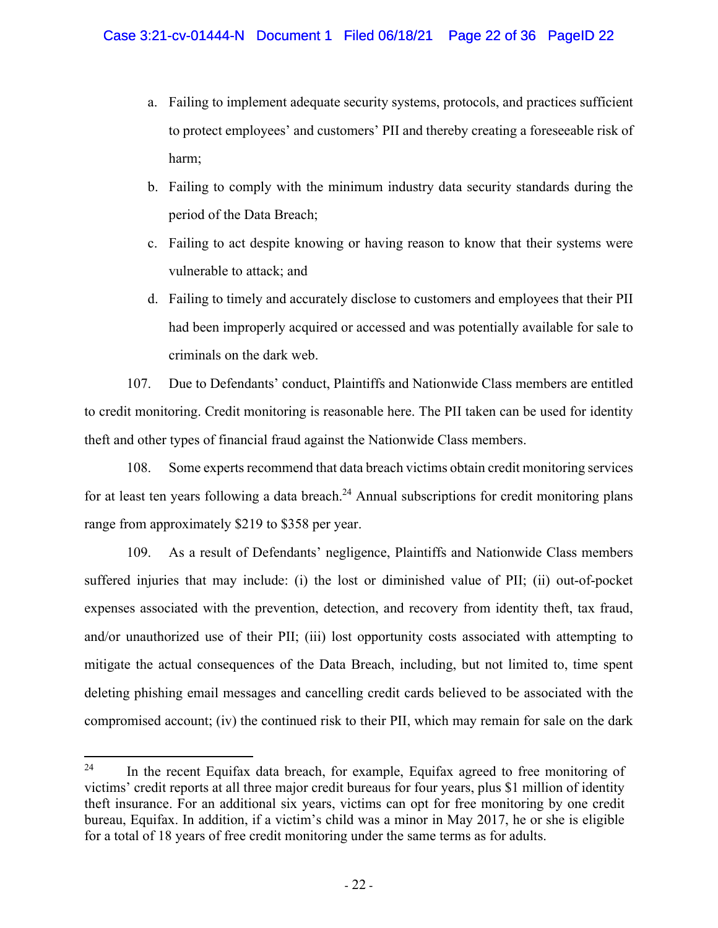- a. Failing to implement adequate security systems, protocols, and practices sufficient to protect employees' and customers' PII and thereby creating a foreseeable risk of harm;
- b. Failing to comply with the minimum industry data security standards during the period of the Data Breach;
- c. Failing to act despite knowing or having reason to know that their systems were vulnerable to attack; and
- d. Failing to timely and accurately disclose to customers and employees that their PII had been improperly acquired or accessed and was potentially available for sale to criminals on the dark web.

107. Due to Defendants' conduct, Plaintiffs and Nationwide Class members are entitled to credit monitoring. Credit monitoring is reasonable here. The PII taken can be used for identity theft and other types of financial fraud against the Nationwide Class members.

108. Some experts recommend that data breach victims obtain credit monitoring services for at least ten years following a data breach.<sup>24</sup> Annual subscriptions for credit monitoring plans range from approximately \$219 to \$358 per year.

109. As a result of Defendants' negligence, Plaintiffs and Nationwide Class members suffered injuries that may include: (i) the lost or diminished value of PII; (ii) out-of-pocket expenses associated with the prevention, detection, and recovery from identity theft, tax fraud, and/or unauthorized use of their PII; (iii) lost opportunity costs associated with attempting to mitigate the actual consequences of the Data Breach, including, but not limited to, time spent deleting phishing email messages and cancelling credit cards believed to be associated with the compromised account; (iv) the continued risk to their PII, which may remain for sale on the dark

<sup>&</sup>lt;sup>24</sup> In the recent Equifax data breach, for example, Equifax agreed to free monitoring of victims' credit reports at all three major credit bureaus for four years, plus \$1 million of identity theft insurance. For an additional six years, victims can opt for free monitoring by one credit bureau, Equifax. In addition, if a victim's child was a minor in May 2017, he or she is eligible for a total of 18 years of free credit monitoring under the same terms as for adults.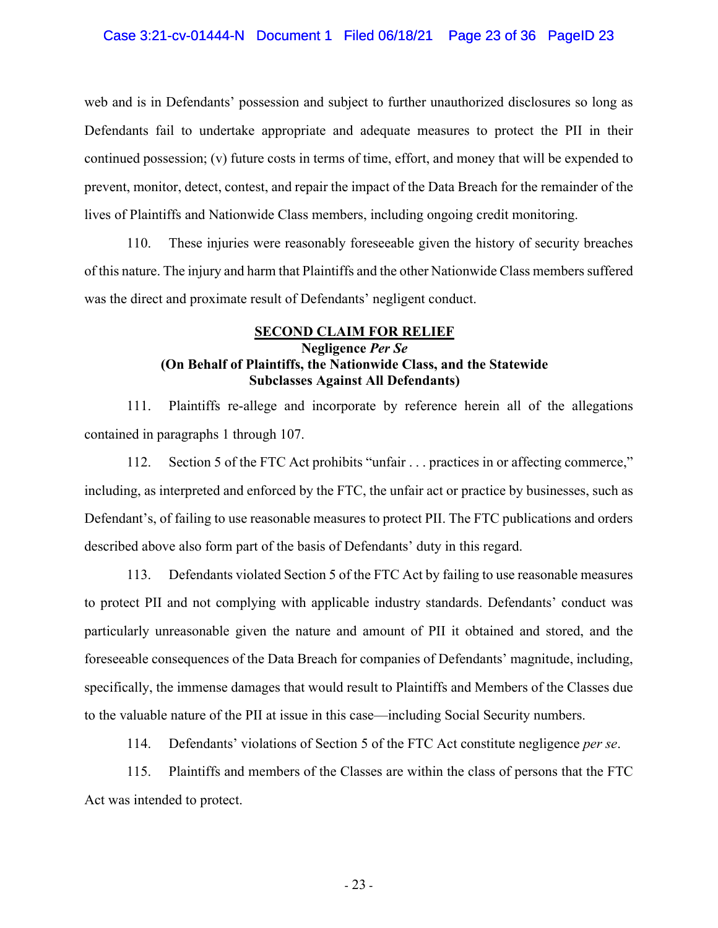web and is in Defendants' possession and subject to further unauthorized disclosures so long as Defendants fail to undertake appropriate and adequate measures to protect the PII in their continued possession; (v) future costs in terms of time, effort, and money that will be expended to prevent, monitor, detect, contest, and repair the impact of the Data Breach for the remainder of the lives of Plaintiffs and Nationwide Class members, including ongoing credit monitoring.

110. These injuries were reasonably foreseeable given the history of security breaches of this nature. The injury and harm that Plaintiffs and the other Nationwide Class members suffered was the direct and proximate result of Defendants' negligent conduct.

# **SECOND CLAIM FOR RELIEF Negligence** *Per Se* **(On Behalf of Plaintiffs, the Nationwide Class, and the Statewide Subclasses Against All Defendants)**

111. Plaintiffs re-allege and incorporate by reference herein all of the allegations contained in paragraphs 1 through 107.

112. Section 5 of the FTC Act prohibits "unfair . . . practices in or affecting commerce," including, as interpreted and enforced by the FTC, the unfair act or practice by businesses, such as Defendant's, of failing to use reasonable measures to protect PII. The FTC publications and orders described above also form part of the basis of Defendants' duty in this regard.

113. Defendants violated Section 5 of the FTC Act by failing to use reasonable measures to protect PII and not complying with applicable industry standards. Defendants' conduct was particularly unreasonable given the nature and amount of PII it obtained and stored, and the foreseeable consequences of the Data Breach for companies of Defendants' magnitude, including, specifically, the immense damages that would result to Plaintiffs and Members of the Classes due to the valuable nature of the PII at issue in this case—including Social Security numbers.

114. Defendants' violations of Section 5 of the FTC Act constitute negligence *per se*.

115. Plaintiffs and members of the Classes are within the class of persons that the FTC Act was intended to protect.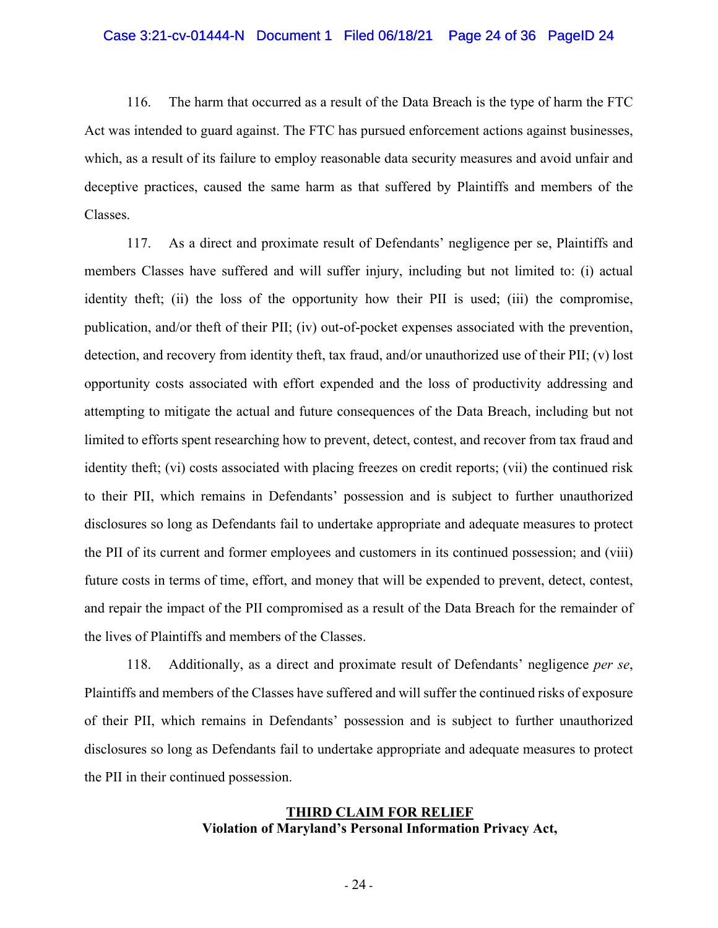#### Case 3:21-cv-01444-N Document 1 Filed 06/18/21 Page 24 of 36 PageID 24

116. The harm that occurred as a result of the Data Breach is the type of harm the FTC Act was intended to guard against. The FTC has pursued enforcement actions against businesses, which, as a result of its failure to employ reasonable data security measures and avoid unfair and deceptive practices, caused the same harm as that suffered by Plaintiffs and members of the Classes.

117. As a direct and proximate result of Defendants' negligence per se, Plaintiffs and members Classes have suffered and will suffer injury, including but not limited to: (i) actual identity theft; (ii) the loss of the opportunity how their PII is used; (iii) the compromise, publication, and/or theft of their PII; (iv) out-of-pocket expenses associated with the prevention, detection, and recovery from identity theft, tax fraud, and/or unauthorized use of their PII; (v) lost opportunity costs associated with effort expended and the loss of productivity addressing and attempting to mitigate the actual and future consequences of the Data Breach, including but not limited to efforts spent researching how to prevent, detect, contest, and recover from tax fraud and identity theft; (vi) costs associated with placing freezes on credit reports; (vii) the continued risk to their PII, which remains in Defendants' possession and is subject to further unauthorized disclosures so long as Defendants fail to undertake appropriate and adequate measures to protect the PII of its current and former employees and customers in its continued possession; and (viii) future costs in terms of time, effort, and money that will be expended to prevent, detect, contest, and repair the impact of the PII compromised as a result of the Data Breach for the remainder of the lives of Plaintiffs and members of the Classes.

118. Additionally, as a direct and proximate result of Defendants' negligence *per se*, Plaintiffs and members of the Classes have suffered and will suffer the continued risks of exposure of their PII, which remains in Defendants' possession and is subject to further unauthorized disclosures so long as Defendants fail to undertake appropriate and adequate measures to protect the PII in their continued possession.

# **THIRD CLAIM FOR RELIEF Violation of Maryland's Personal Information Privacy Act,**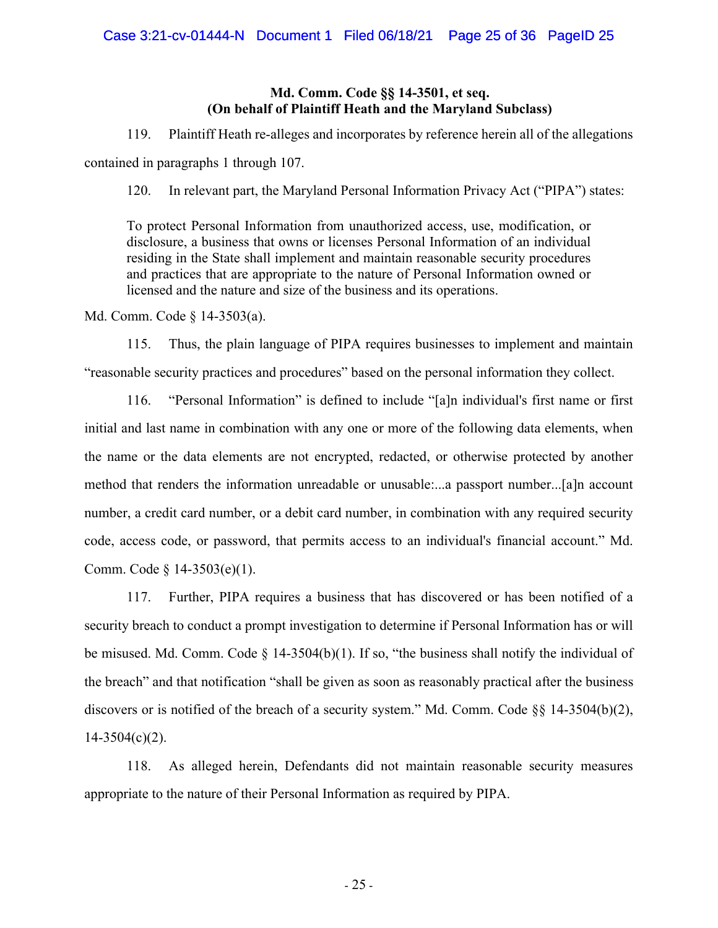# **Md. Comm. Code §§ 14-3501, et seq. (On behalf of Plaintiff Heath and the Maryland Subclass)**

119. Plaintiff Heath re-alleges and incorporates by reference herein all of the allegations contained in paragraphs 1 through 107.

120. In relevant part, the Maryland Personal Information Privacy Act ("PIPA") states:

To protect Personal Information from unauthorized access, use, modification, or disclosure, a business that owns or licenses Personal Information of an individual residing in the State shall implement and maintain reasonable security procedures and practices that are appropriate to the nature of Personal Information owned or licensed and the nature and size of the business and its operations.

Md. Comm. Code § 14-3503(a).

115. Thus, the plain language of PIPA requires businesses to implement and maintain "reasonable security practices and procedures" based on the personal information they collect.

116. "Personal Information" is defined to include "[a]n individual's first name or first initial and last name in combination with any one or more of the following data elements, when the name or the data elements are not encrypted, redacted, or otherwise protected by another method that renders the information unreadable or unusable:...a passport number...[a]n account number, a credit card number, or a debit card number, in combination with any required security code, access code, or password, that permits access to an individual's financial account." Md. Comm. Code § 14-3503(e)(1).

117. Further, PIPA requires a business that has discovered or has been notified of a security breach to conduct a prompt investigation to determine if Personal Information has or will be misused. Md. Comm. Code § 14-3504(b)(1). If so, "the business shall notify the individual of the breach" and that notification "shall be given as soon as reasonably practical after the business discovers or is notified of the breach of a security system." Md. Comm. Code §§ 14-3504(b)(2),  $14 - 3504(c)(2)$ .

118. As alleged herein, Defendants did not maintain reasonable security measures appropriate to the nature of their Personal Information as required by PIPA.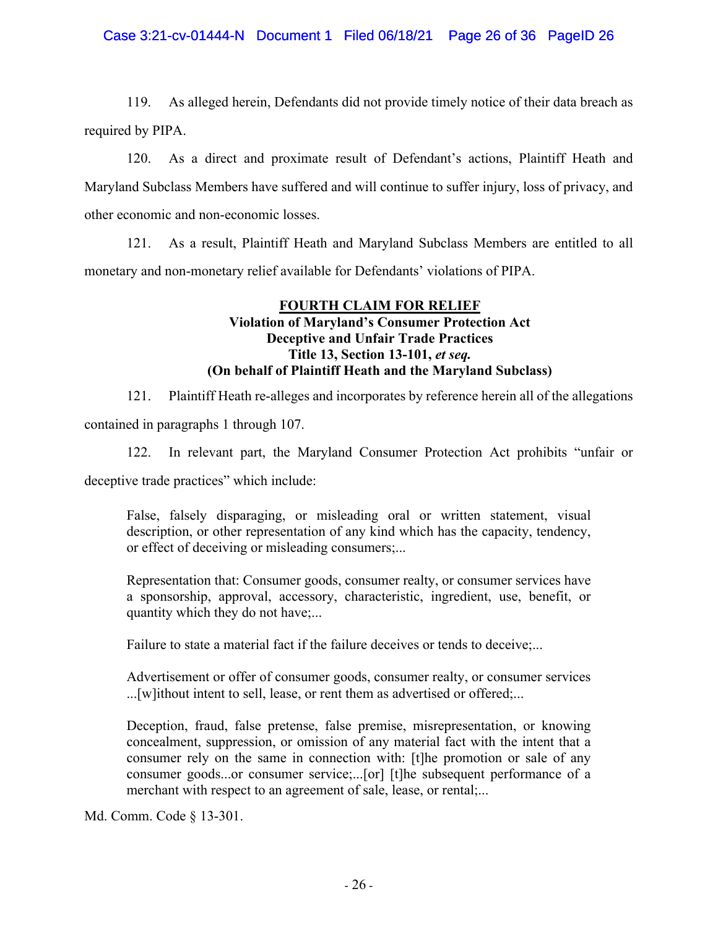# Case 3:21-cv-01444-N Document 1 Filed 06/18/21 Page 26 of 36 PageID 26

119. As alleged herein, Defendants did not provide timely notice of their data breach as required by PIPA.

120. As a direct and proximate result of Defendant's actions, Plaintiff Heath and Maryland Subclass Members have suffered and will continue to suffer injury, loss of privacy, and other economic and non-economic losses.

121. As a result, Plaintiff Heath and Maryland Subclass Members are entitled to all monetary and non-monetary relief available for Defendants' violations of PIPA.

# **FOURTH CLAIM FOR RELIEF Violation of Maryland's Consumer Protection Act Deceptive and Unfair Trade Practices Title 13, Section 13-101,** *et seq.* **(On behalf of Plaintiff Heath and the Maryland Subclass)**

121. Plaintiff Heath re-alleges and incorporates by reference herein all of the allegations

contained in paragraphs 1 through 107.

122. In relevant part, the Maryland Consumer Protection Act prohibits "unfair or deceptive trade practices" which include:

False, falsely disparaging, or misleading oral or written statement, visual description, or other representation of any kind which has the capacity, tendency, or effect of deceiving or misleading consumers;...

Representation that: Consumer goods, consumer realty, or consumer services have a sponsorship, approval, accessory, characteristic, ingredient, use, benefit, or quantity which they do not have;...

Failure to state a material fact if the failure deceives or tends to deceive;...

Advertisement or offer of consumer goods, consumer realty, or consumer services ...[w]ithout intent to sell, lease, or rent them as advertised or offered;...

Deception, fraud, false pretense, false premise, misrepresentation, or knowing concealment, suppression, or omission of any material fact with the intent that a consumer rely on the same in connection with: [t]he promotion or sale of any consumer goods...or consumer service;...[or] [t]he subsequent performance of a merchant with respect to an agreement of sale, lease, or rental;...

Md. Comm. Code § 13-301.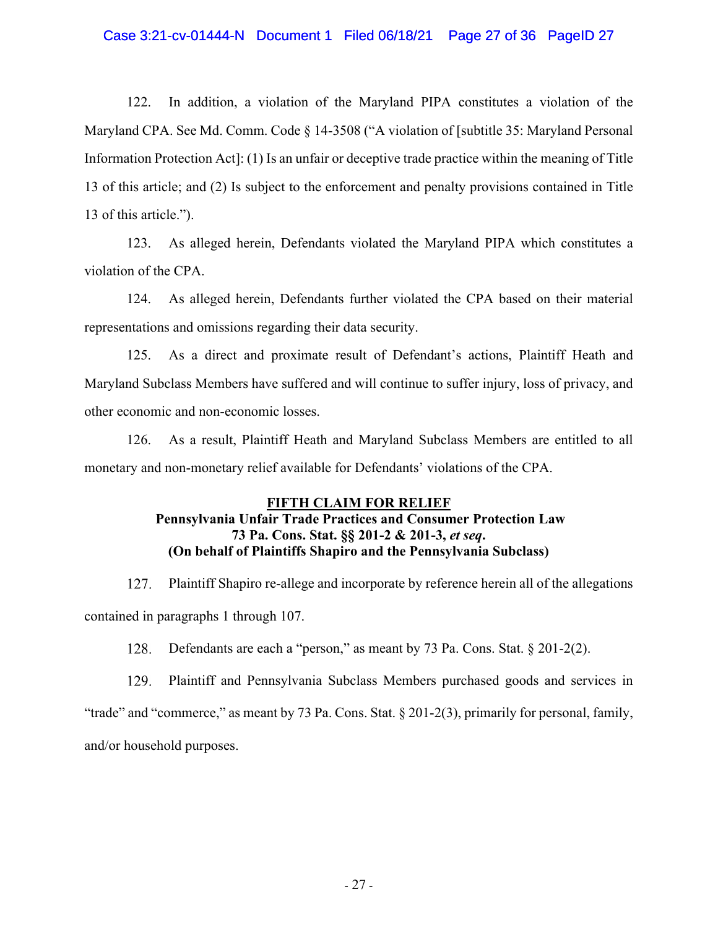### Case 3:21-cv-01444-N Document 1 Filed 06/18/21 Page 27 of 36 PageID 27

122. In addition, a violation of the Maryland PIPA constitutes a violation of the Maryland CPA. See Md. Comm. Code § 14-3508 ("A violation of [subtitle 35: Maryland Personal Information Protection Act]: (1) Is an unfair or deceptive trade practice within the meaning of Title 13 of this article; and (2) Is subject to the enforcement and penalty provisions contained in Title 13 of this article.").

123. As alleged herein, Defendants violated the Maryland PIPA which constitutes a violation of the CPA.

124. As alleged herein, Defendants further violated the CPA based on their material representations and omissions regarding their data security.

125. As a direct and proximate result of Defendant's actions, Plaintiff Heath and Maryland Subclass Members have suffered and will continue to suffer injury, loss of privacy, and other economic and non-economic losses.

126. As a result, Plaintiff Heath and Maryland Subclass Members are entitled to all monetary and non-monetary relief available for Defendants' violations of the CPA.

#### **FIFTH CLAIM FOR RELIEF**

# **Pennsylvania Unfair Trade Practices and Consumer Protection Law 73 Pa. Cons. Stat. §§ 201-2 & 201-3,** *et seq***. (On behalf of Plaintiffs Shapiro and the Pennsylvania Subclass)**

Plaintiff Shapiro re-allege and incorporate by reference herein all of the allegations 127. contained in paragraphs 1 through 107.

128. Defendants are each a "person," as meant by 73 Pa. Cons. Stat. § 201-2(2).

129. Plaintiff and Pennsylvania Subclass Members purchased goods and services in "trade" and "commerce," as meant by 73 Pa. Cons. Stat. § 201-2(3), primarily for personal, family, and/or household purposes.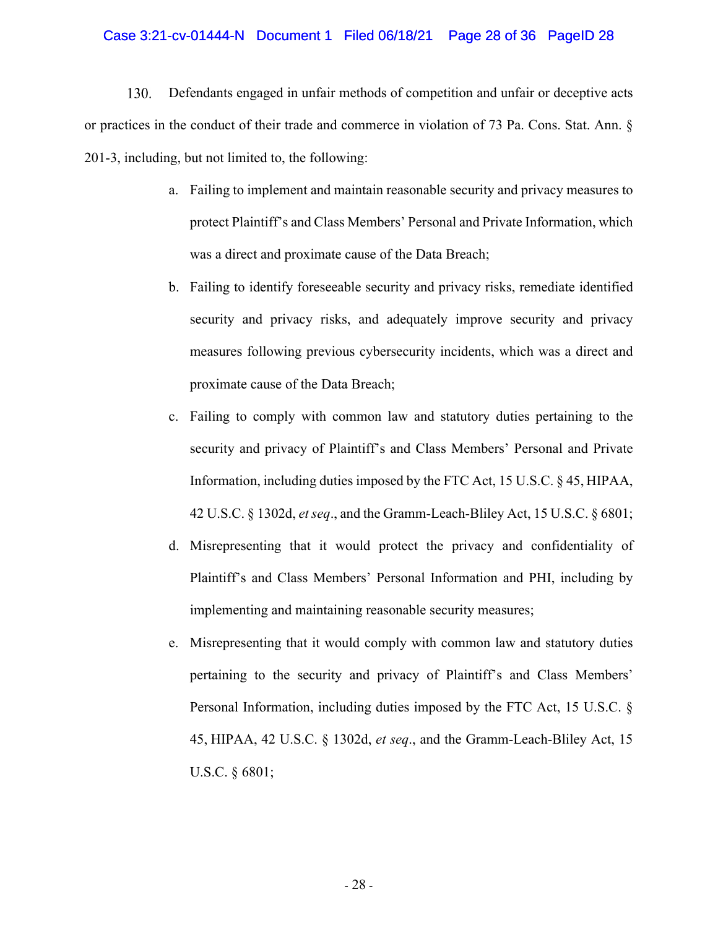#### Case 3:21-cv-01444-N Document 1 Filed 06/18/21 Page 28 of 36 PageID 28

 $130.$ Defendants engaged in unfair methods of competition and unfair or deceptive acts or practices in the conduct of their trade and commerce in violation of 73 Pa. Cons. Stat. Ann. § 201-3, including, but not limited to, the following:

- a. Failing to implement and maintain reasonable security and privacy measures to protect Plaintiff's and Class Members' Personal and Private Information, which was a direct and proximate cause of the Data Breach;
- b. Failing to identify foreseeable security and privacy risks, remediate identified security and privacy risks, and adequately improve security and privacy measures following previous cybersecurity incidents, which was a direct and proximate cause of the Data Breach;
- c. Failing to comply with common law and statutory duties pertaining to the security and privacy of Plaintiff's and Class Members' Personal and Private Information, including duties imposed by the FTC Act, 15 U.S.C. § 45, HIPAA, 42 U.S.C. § 1302d, *et seq*., and the Gramm-Leach-Bliley Act, 15 U.S.C. § 6801;
- d. Misrepresenting that it would protect the privacy and confidentiality of Plaintiff's and Class Members' Personal Information and PHI, including by implementing and maintaining reasonable security measures;
- e. Misrepresenting that it would comply with common law and statutory duties pertaining to the security and privacy of Plaintiff's and Class Members' Personal Information, including duties imposed by the FTC Act, 15 U.S.C. § 45, HIPAA, 42 U.S.C. § 1302d, *et seq*., and the Gramm-Leach-Bliley Act, 15 U.S.C. § 6801;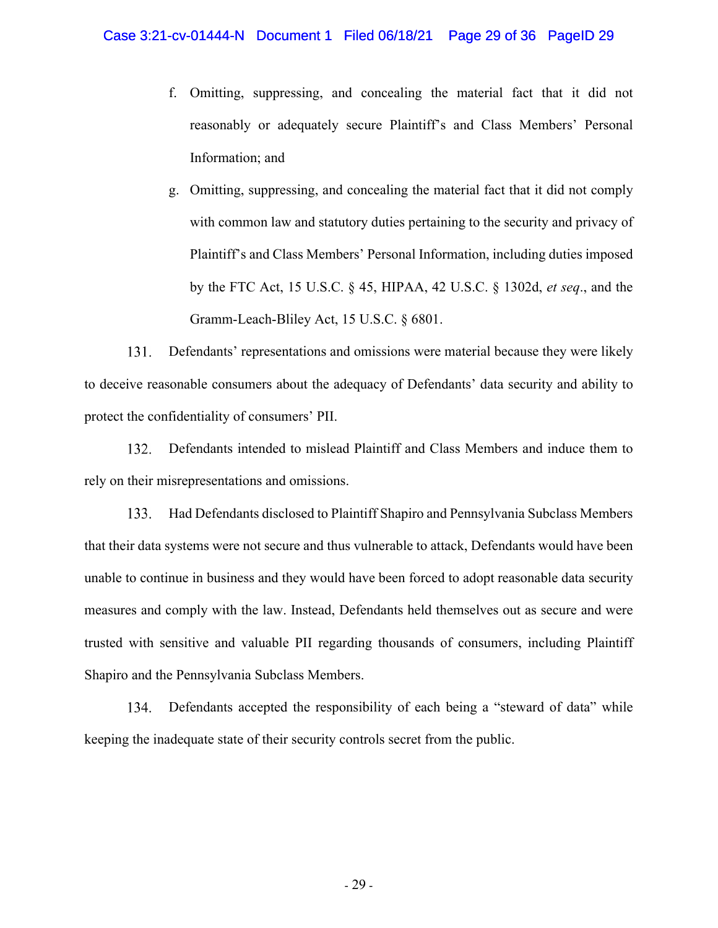- f. Omitting, suppressing, and concealing the material fact that it did not reasonably or adequately secure Plaintiff's and Class Members' Personal Information; and
- g. Omitting, suppressing, and concealing the material fact that it did not comply with common law and statutory duties pertaining to the security and privacy of Plaintiff's and Class Members' Personal Information, including duties imposed by the FTC Act, 15 U.S.C. § 45, HIPAA, 42 U.S.C. § 1302d, *et seq*., and the Gramm-Leach-Bliley Act, 15 U.S.C. § 6801.

131. Defendants' representations and omissions were material because they were likely to deceive reasonable consumers about the adequacy of Defendants' data security and ability to protect the confidentiality of consumers' PII.

132. Defendants intended to mislead Plaintiff and Class Members and induce them to rely on their misrepresentations and omissions.

Had Defendants disclosed to Plaintiff Shapiro and Pennsylvania Subclass Members 133. that their data systems were not secure and thus vulnerable to attack, Defendants would have been unable to continue in business and they would have been forced to adopt reasonable data security measures and comply with the law. Instead, Defendants held themselves out as secure and were trusted with sensitive and valuable PII regarding thousands of consumers, including Plaintiff Shapiro and the Pennsylvania Subclass Members.

Defendants accepted the responsibility of each being a "steward of data" while 134. keeping the inadequate state of their security controls secret from the public.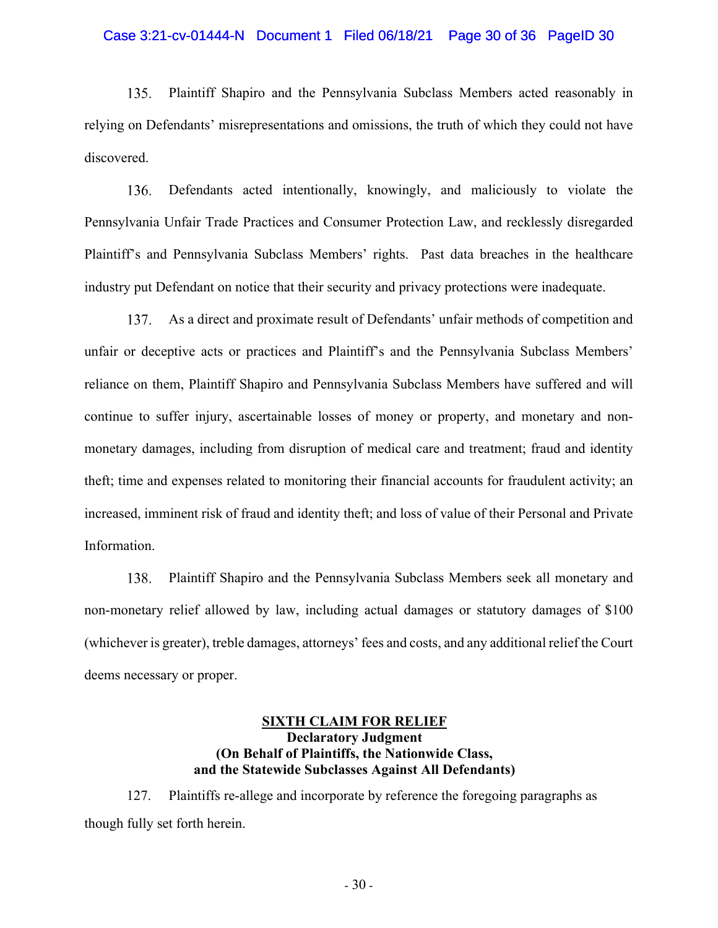#### Case 3:21-cv-01444-N Document 1 Filed 06/18/21 Page 30 of 36 PageID 30

Plaintiff Shapiro and the Pennsylvania Subclass Members acted reasonably in  $135.$ relying on Defendants' misrepresentations and omissions, the truth of which they could not have discovered.

 $136.$ Defendants acted intentionally, knowingly, and maliciously to violate the Pennsylvania Unfair Trade Practices and Consumer Protection Law, and recklessly disregarded Plaintiff's and Pennsylvania Subclass Members' rights. Past data breaches in the healthcare industry put Defendant on notice that their security and privacy protections were inadequate.

137. As a direct and proximate result of Defendants' unfair methods of competition and unfair or deceptive acts or practices and Plaintiff's and the Pennsylvania Subclass Members' reliance on them, Plaintiff Shapiro and Pennsylvania Subclass Members have suffered and will continue to suffer injury, ascertainable losses of money or property, and monetary and nonmonetary damages, including from disruption of medical care and treatment; fraud and identity theft; time and expenses related to monitoring their financial accounts for fraudulent activity; an increased, imminent risk of fraud and identity theft; and loss of value of their Personal and Private Information.

138. Plaintiff Shapiro and the Pennsylvania Subclass Members seek all monetary and non-monetary relief allowed by law, including actual damages or statutory damages of \$100 (whichever is greater), treble damages, attorneys' fees and costs, and any additional relief the Court deems necessary or proper.

### **SIXTH CLAIM FOR RELIEF Declaratory Judgment (On Behalf of Plaintiffs, the Nationwide Class, and the Statewide Subclasses Against All Defendants)**

127. Plaintiffs re-allege and incorporate by reference the foregoing paragraphs as though fully set forth herein.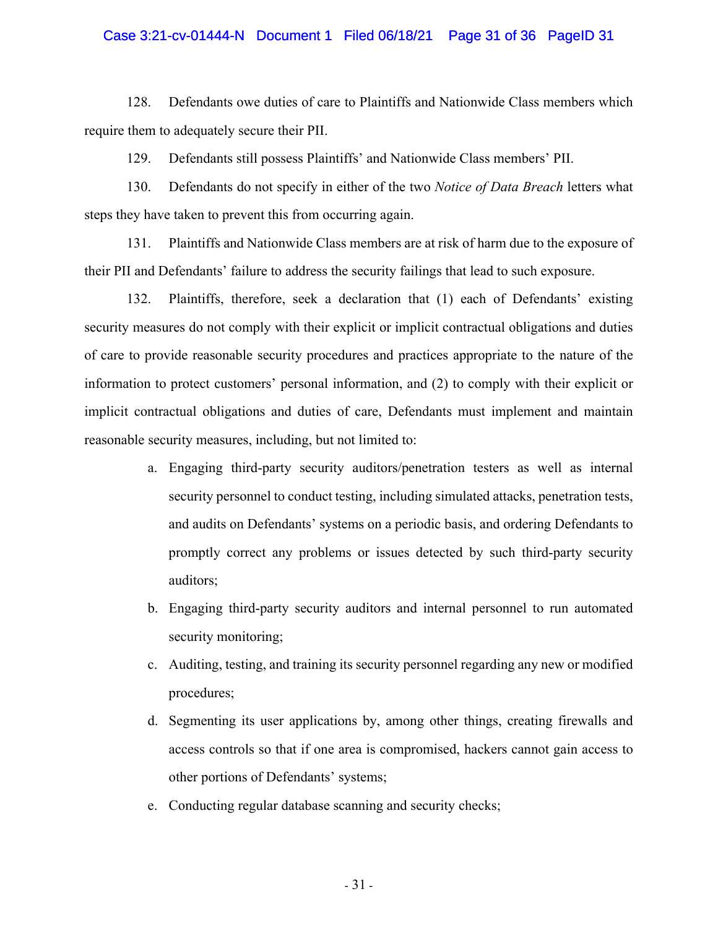#### Case 3:21-cv-01444-N Document 1 Filed 06/18/21 Page 31 of 36 PageID 31

128. Defendants owe duties of care to Plaintiffs and Nationwide Class members which require them to adequately secure their PII.

129. Defendants still possess Plaintiffs' and Nationwide Class members' PII.

130. Defendants do not specify in either of the two *Notice of Data Breach* letters what steps they have taken to prevent this from occurring again.

131. Plaintiffs and Nationwide Class members are at risk of harm due to the exposure of their PII and Defendants' failure to address the security failings that lead to such exposure.

132. Plaintiffs, therefore, seek a declaration that (1) each of Defendants' existing security measures do not comply with their explicit or implicit contractual obligations and duties of care to provide reasonable security procedures and practices appropriate to the nature of the information to protect customers' personal information, and (2) to comply with their explicit or implicit contractual obligations and duties of care, Defendants must implement and maintain reasonable security measures, including, but not limited to:

- a. Engaging third-party security auditors/penetration testers as well as internal security personnel to conduct testing, including simulated attacks, penetration tests, and audits on Defendants' systems on a periodic basis, and ordering Defendants to promptly correct any problems or issues detected by such third-party security auditors;
- b. Engaging third-party security auditors and internal personnel to run automated security monitoring;
- c. Auditing, testing, and training its security personnel regarding any new or modified procedures;
- d. Segmenting its user applications by, among other things, creating firewalls and access controls so that if one area is compromised, hackers cannot gain access to other portions of Defendants' systems;
- e. Conducting regular database scanning and security checks;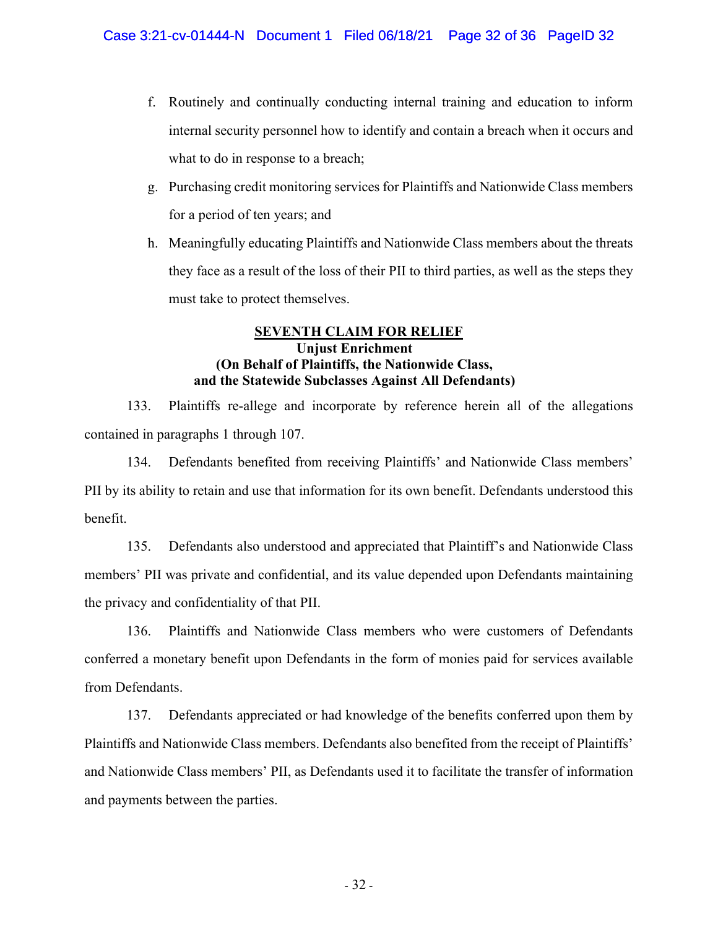- f. Routinely and continually conducting internal training and education to inform internal security personnel how to identify and contain a breach when it occurs and what to do in response to a breach;
- g. Purchasing credit monitoring services for Plaintiffs and Nationwide Class members for a period of ten years; and
- h. Meaningfully educating Plaintiffs and Nationwide Class members about the threats they face as a result of the loss of their PII to third parties, as well as the steps they must take to protect themselves.

# **SEVENTH CLAIM FOR RELIEF Unjust Enrichment (On Behalf of Plaintiffs, the Nationwide Class, and the Statewide Subclasses Against All Defendants)**

133. Plaintiffs re-allege and incorporate by reference herein all of the allegations contained in paragraphs 1 through 107.

134. Defendants benefited from receiving Plaintiffs' and Nationwide Class members' PII by its ability to retain and use that information for its own benefit. Defendants understood this benefit.

135. Defendants also understood and appreciated that Plaintiff's and Nationwide Class members' PII was private and confidential, and its value depended upon Defendants maintaining the privacy and confidentiality of that PII.

136. Plaintiffs and Nationwide Class members who were customers of Defendants conferred a monetary benefit upon Defendants in the form of monies paid for services available from Defendants.

137. Defendants appreciated or had knowledge of the benefits conferred upon them by Plaintiffs and Nationwide Class members. Defendants also benefited from the receipt of Plaintiffs' and Nationwide Class members' PII, as Defendants used it to facilitate the transfer of information and payments between the parties.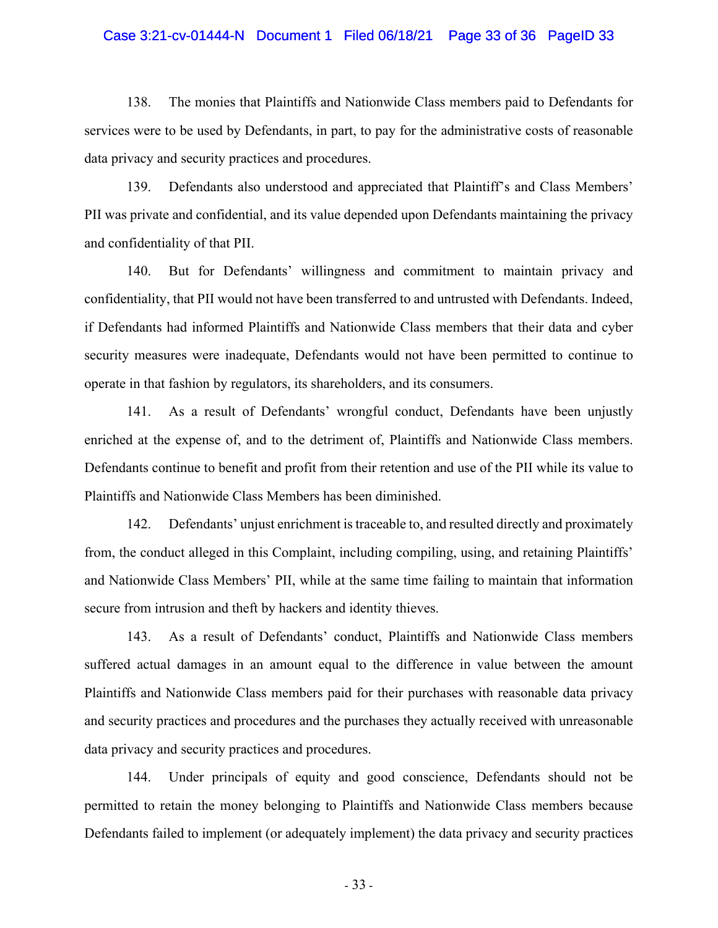#### Case 3:21-cv-01444-N Document 1 Filed 06/18/21 Page 33 of 36 PageID 33

138. The monies that Plaintiffs and Nationwide Class members paid to Defendants for services were to be used by Defendants, in part, to pay for the administrative costs of reasonable data privacy and security practices and procedures.

139. Defendants also understood and appreciated that Plaintiff's and Class Members' PII was private and confidential, and its value depended upon Defendants maintaining the privacy and confidentiality of that PII.

140. But for Defendants' willingness and commitment to maintain privacy and confidentiality, that PII would not have been transferred to and untrusted with Defendants. Indeed, if Defendants had informed Plaintiffs and Nationwide Class members that their data and cyber security measures were inadequate, Defendants would not have been permitted to continue to operate in that fashion by regulators, its shareholders, and its consumers.

141. As a result of Defendants' wrongful conduct, Defendants have been unjustly enriched at the expense of, and to the detriment of, Plaintiffs and Nationwide Class members. Defendants continue to benefit and profit from their retention and use of the PII while its value to Plaintiffs and Nationwide Class Members has been diminished.

142. Defendants' unjust enrichment is traceable to, and resulted directly and proximately from, the conduct alleged in this Complaint, including compiling, using, and retaining Plaintiffs' and Nationwide Class Members' PII, while at the same time failing to maintain that information secure from intrusion and theft by hackers and identity thieves.

143. As a result of Defendants' conduct, Plaintiffs and Nationwide Class members suffered actual damages in an amount equal to the difference in value between the amount Plaintiffs and Nationwide Class members paid for their purchases with reasonable data privacy and security practices and procedures and the purchases they actually received with unreasonable data privacy and security practices and procedures.

144. Under principals of equity and good conscience, Defendants should not be permitted to retain the money belonging to Plaintiffs and Nationwide Class members because Defendants failed to implement (or adequately implement) the data privacy and security practices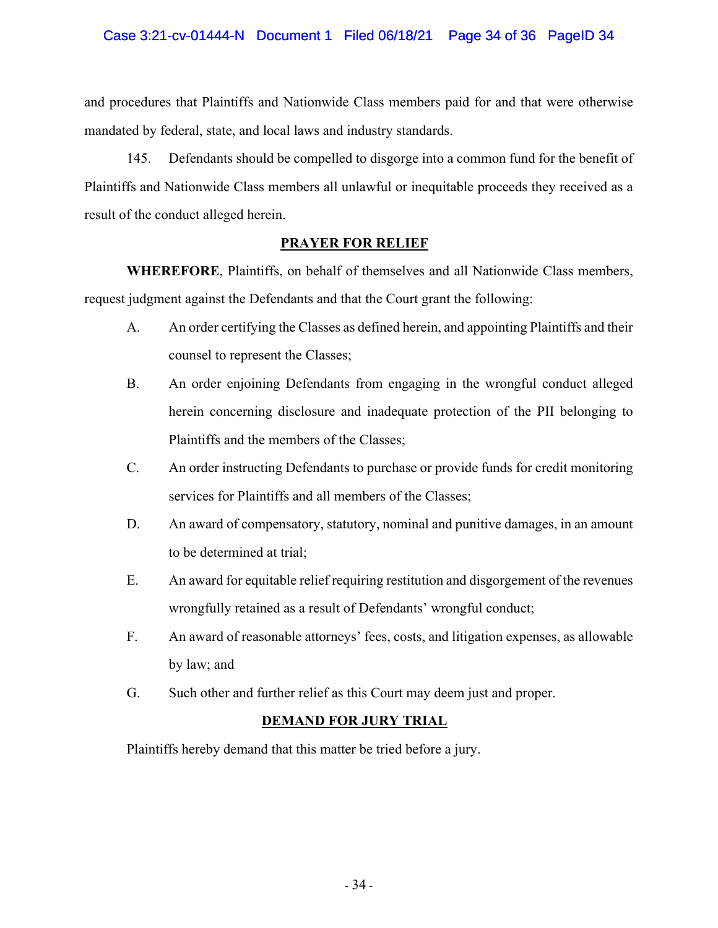### Case 3:21-cv-01444-N Document 1 Filed 06/18/21 Page 34 of 36 PageID 34

and procedures that Plaintiffs and Nationwide Class members paid for and that were otherwise mandated by federal, state, and local laws and industry standards.

145. Defendants should be compelled to disgorge into a common fund for the benefit of Plaintiffs and Nationwide Class members all unlawful or inequitable proceeds they received as a result of the conduct alleged herein.

### **PRAYER FOR RELIEF**

**WHEREFORE**, Plaintiffs, on behalf of themselves and all Nationwide Class members, request judgment against the Defendants and that the Court grant the following:

- A. An order certifying the Classes as defined herein, and appointing Plaintiffs and their counsel to represent the Classes;
- B. An order enjoining Defendants from engaging in the wrongful conduct alleged herein concerning disclosure and inadequate protection of the PII belonging to Plaintiffs and the members of the Classes;
- C. An order instructing Defendants to purchase or provide funds for credit monitoring services for Plaintiffs and all members of the Classes;
- D. An award of compensatory, statutory, nominal and punitive damages, in an amount to be determined at trial;
- E. An award for equitable relief requiring restitution and disgorgement of the revenues wrongfully retained as a result of Defendants' wrongful conduct;
- F. An award of reasonable attorneys' fees, costs, and litigation expenses, as allowable by law; and
- G. Such other and further relief as this Court may deem just and proper.

# **DEMAND FOR JURY TRIAL**

Plaintiffs hereby demand that this matter be tried before a jury.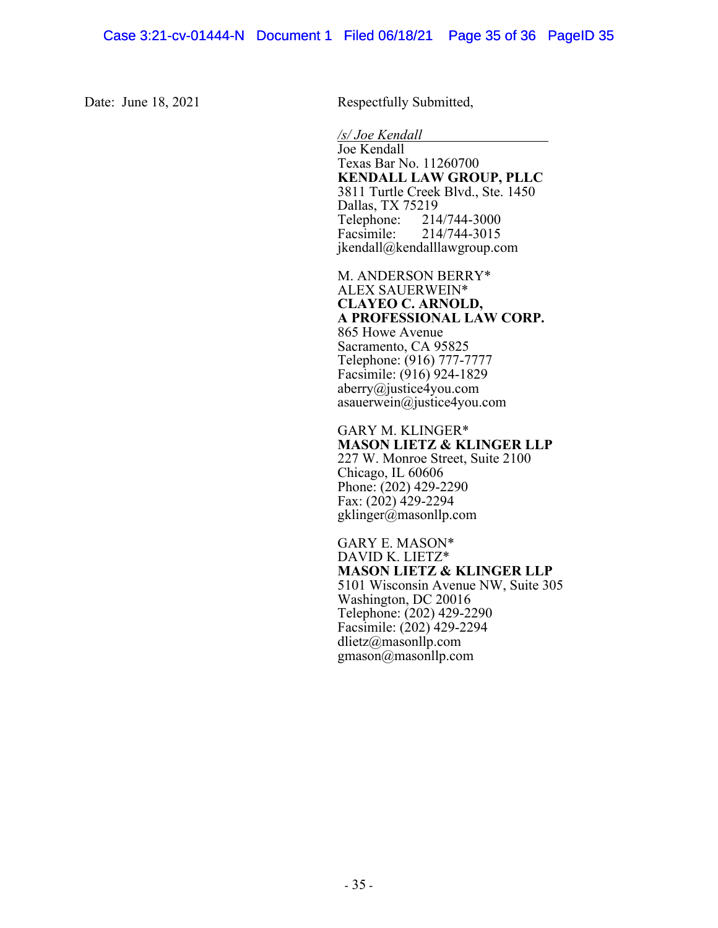Date: June 18, 2021 Respectfully Submitted,

 */s/ Joe Kendall*  Joe Kendall Texas Bar No. 11260700 **KENDALL LAW GROUP, PLLC**  3811 Turtle Creek Blvd., Ste. 1450 Dallas, TX 75219<br>Telephone: 214 Telephone: 214/744-3000<br>Facsimile: 214/744-3015 Facsimile: 214/744-3015 jkendall@kendalllawgroup.com

M. ANDERSON BERRY\* ALEX SAUERWEIN\* **CLAYEO C. ARNOLD, A PROFESSIONAL LAW CORP.**  865 Howe Avenue Sacramento, CA 95825 Telephone: (916) 777-7777 Facsimile: (916) 924-1829 aberry@justice4you.com asauerwein@justice4you.com

GARY M. KLINGER\* **MASON LIETZ & KLINGER LLP**  227 W. Monroe Street, Suite 2100 Chicago, IL 60606 Phone: (202) 429-2290 Fax: (202) 429-2294 gklinger@masonllp.com

GARY E. MASON\* DAVID K. LIETZ\* **MASON LIETZ & KLINGER LLP**  5101 Wisconsin Avenue NW, Suite 305 Washington, DC 20016 Telephone: (202) 429-2290 Facsimile: (202) 429-2294 dlietz@masonllp.com gmason@masonllp.com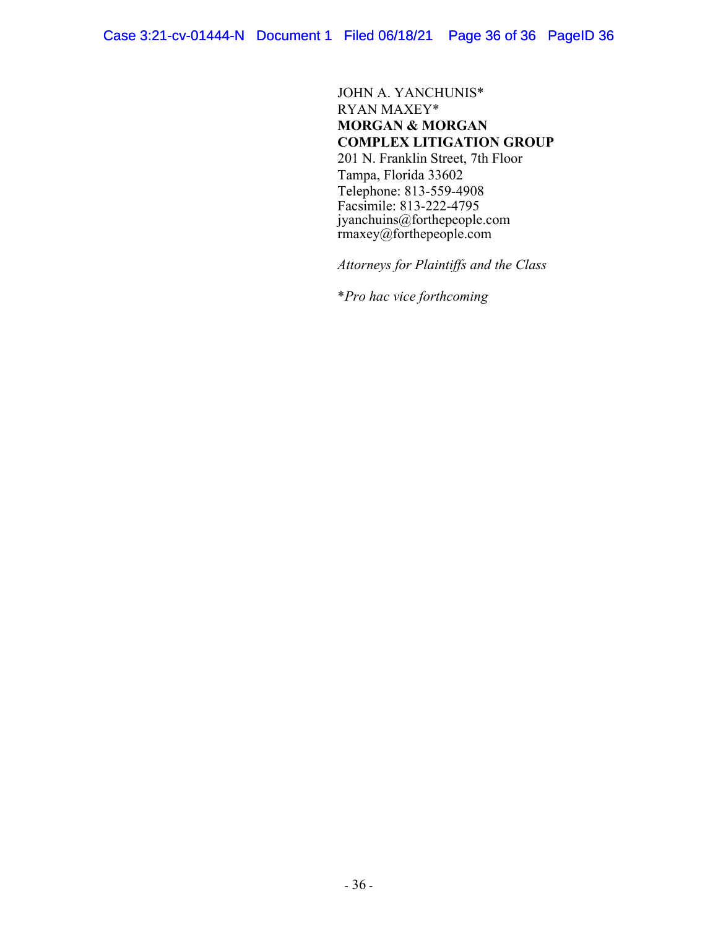JOHN A. YANCHUNIS\* RYAN MAXEY\* **MORGAN & MORGAN COMPLEX LITIGATION GROUP**  201 N. Franklin Street, 7th Floor Tampa, Florida 33602 Telephone: 813-559-4908 Facsimile: 813-222-4795 jyanchuins@forthepeople.com rmaxey@forthepeople.com

 *Attorneys for Plaintiffs and the Class* 

\**Pro hac vice forthcoming*